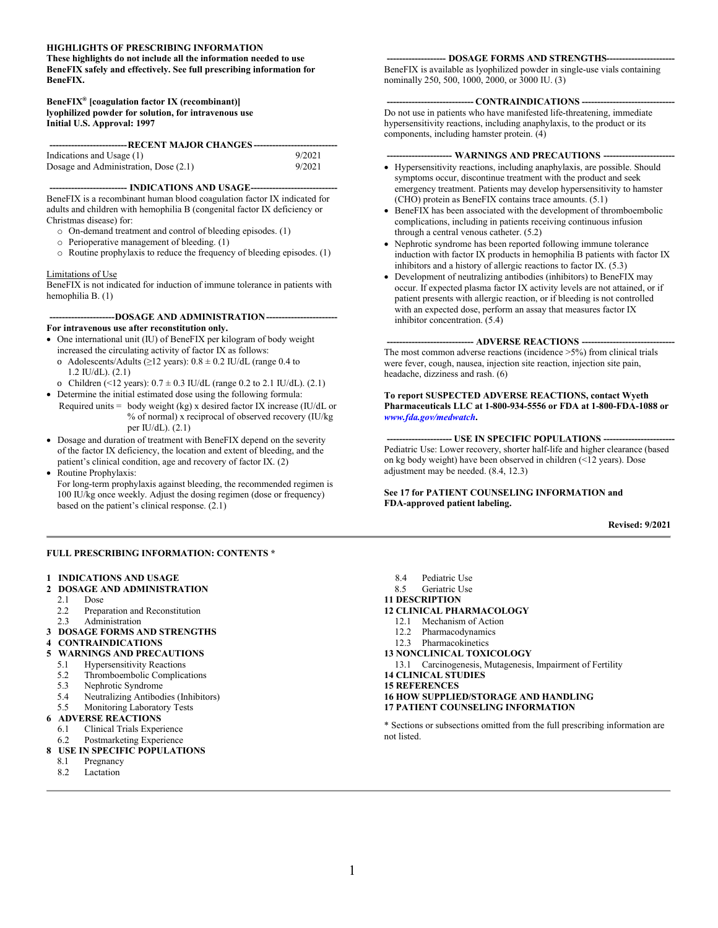#### **HIGHLIGHTS OF PRESCRIBING INFORMATION**

**These highlights do not include all the information needed to use BeneFIX safely and effectively. See full prescribing information for BeneFIX.**

#### **BeneFIX® [coagulation factor IX (recombinant)] lyophilized powder for solution, for intravenous use Initial U.S. Approval: 1997**

| Indications and Usage (1)             | 9/2021 |
|---------------------------------------|--------|
| Dosage and Administration, Dose (2.1) | 9/2021 |

--- **INDICATIONS AND USAGE---**BeneFIX is a recombinant human blood coagulation factor IX indicated for adults and children with hemophilia B (congenital factor IX deficiency or Christmas disease) for:

- o On-demand treatment and control of bleeding episodes. (1)
- o Perioperative management of bleeding. (1)
- o Routine prophylaxis to reduce the frequency of bleeding episodes. (1)

#### Limitations of Use

BeneFIX is not indicated for induction of immune tolerance in patients with hemophilia B. (1)

#### **---------------------DOSAGE AND ADMINISTRATION----------------------- For intravenous use after reconstitution only.**

- One international unit (IU) of BeneFIX per kilogram of body weight increased the circulating activity of factor IX as follows:
- o Adolescents/Adults ( $\geq$ 12 years): 0.8  $\pm$  0.2 IU/dL (range 0.4 to 1.2 IU/dL). (2.1)
- o Children (<12 years):  $0.7 \pm 0.3$  IU/dL (range 0.2 to 2.1 IU/dL). (2.1) Determine the initial estimated dose using the following formula:
- Required units = body weight (kg) x desired factor IX increase (IU/dL or % of normal) x reciprocal of observed recovery (IU/kg per IU/dL). (2.1)
- Dosage and duration of treatment with BeneFIX depend on the severity of the factor IX deficiency, the location and extent of bleeding, and the patient's clinical condition, age and recovery of factor IX. (2)
- Routine Prophylaxis:
- For long-term prophylaxis against bleeding, the recommended regimen is 100 IU/kg once weekly. Adjust the dosing regimen (dose or frequency) based on the patient's clinical response. (2.1)

#### **FULL PRESCRIBING INFORMATION: CONTENTS \***

#### **1 INDICATIONS AND USAGE**

- **2 DOSAGE AND ADMINISTRATION**
	- 2.1 Dose<br>2.2 Prepa
- Preparation and Reconstitution
- 2.3 Administration
- **3 DOSAGE FORMS AND STRENGTHS**
- **4 CONTRAINDICATIONS**
- **5 WARNINGS AND PRECAUTIONS**
- 5.1 Hypersensitivity Reactions
- 5.2 Thromboembolic Complications
- 5.3 Nephrotic Syndrome<br>5.4 Neutralizing Antibod
- 5.4 Neutralizing Antibodies (Inhibitors)
- 5.5 Monitoring Laboratory Tests
- **6 ADVERSE REACTIONS**
	- 6.1 Clinical Trials Experience
	- 6.2 Postmarketing Experience

#### **8 USE IN SPECIFIC POPULATIONS**

- 8.1 Pregnancy
- 8.2 Lactation

#### **------------------- DOSAGE FORMS AND STRENGTHS----------------------**

BeneFIX is available as lyophilized powder in single-use vials containing nominally 250, 500, 1000, 2000, or 3000 IU. (3)

#### --- **CONTRAINDICATIONS** --

Do not use in patients who have manifested life-threatening, immediate hypersensitivity reactions, including anaphylaxis, to the product or its components, including hamster protein. (4)

**--------------------- WARNINGS AND PRECAUTIONS -----------------------**

- Hypersensitivity reactions, including anaphylaxis, are possible. Should symptoms occur, discontinue treatment with the product and seek emergency treatment. Patients may develop hypersensitivity to hamster (CHO) protein as BeneFIX contains trace amounts. (5.1)
- BeneFIX has been associated with the development of thromboembolic complications, including in patients receiving continuous infusion through a central venous catheter. (5.2)
- Nephrotic syndrome has been reported following immune tolerance induction with factor IX products in hemophilia B patients with factor IX inhibitors and a history of allergic reactions to factor IX. (5.3)
- Development of neutralizing antibodies (inhibitors) to BeneFIX may occur. If expected plasma factor IX activity levels are not attained, or if patient presents with allergic reaction, or if bleeding is not controlled with an expected dose, perform an assay that measures factor IX inhibitor concentration. (5.4)

#### -- **ADVERSE REACTIONS** ---

The most common adverse reactions (incidence >5%) from clinical trials were fever, cough, nausea, injection site reaction, injection site pain, headache, dizziness and rash. (6)

#### **To report SUSPECTED ADVERSE REACTIONS, contact Wyeth Pharmaceuticals LLC at 1-800-934-5556 or FDA at 1-800-FDA-1088 or**  *[www.fda.gov/medwatch](http://www.fda.gov/medwatch)***.**

**--------------------- USE IN SPECIFIC POPULATIONS -----------------------** Pediatric Use: Lower recovery, shorter half-life and higher clearance (based on kg body weight) have been observed in children (<12 years). Dose adjustment may be needed. (8.4, 12.3)

#### **See 17 for PATIENT COUNSELING INFORMATION and FDA-approved patient labeling.**

#### **Revised: 9/2021**

- 8.4 Pediatric Use
- 8.5 Geriatric Use
- **11 DESCRIPTION**

#### **12 CLINICAL PHARMACOLOGY**

- 12.1 Mechanism of Action
- 12.2 Pharmacodynamics
- 12.3 Pharmacokinetics
- **13 NONCLINICAL TOXICOLOGY**
- 13.1 Carcinogenesis, Mutagenesis, Impairment of Fertility
- **14 CLINICAL STUDIES**
- **15 REFERENCES**
- **16 HOW SUPPLIED/STORAGE AND HANDLING**
- **17 PATIENT COUNSELING INFORMATION**

\* Sections or subsections omitted from the full prescribing information are not listed.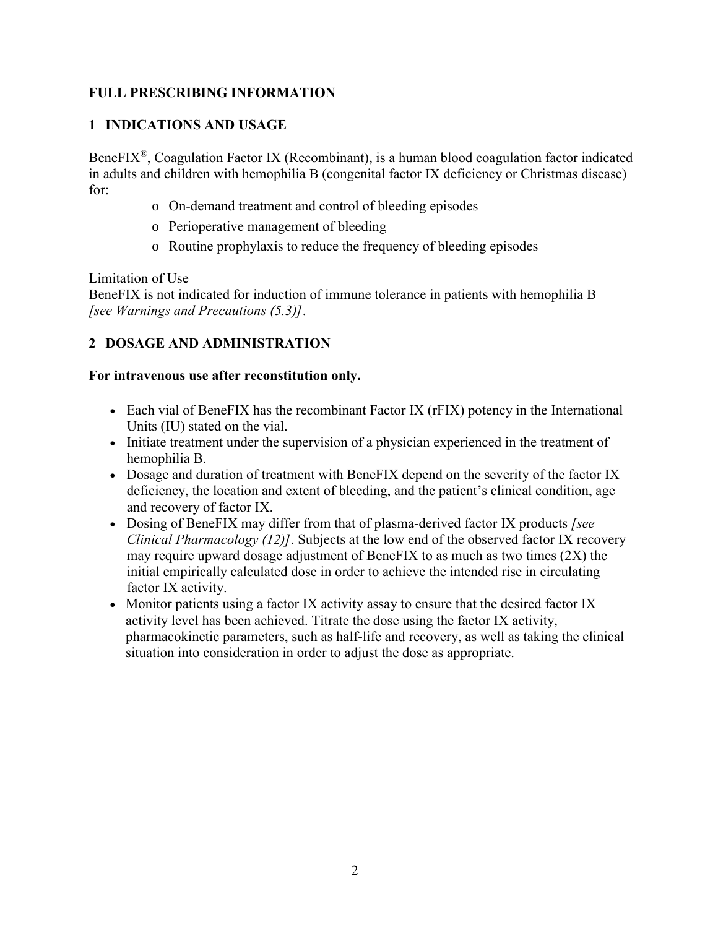# **FULL PRESCRIBING INFORMATION**

## **1 INDICATIONS AND USAGE**

BeneFIX®, Coagulation Factor IX (Recombinant), is a human blood coagulation factor indicated in adults and children with hemophilia B (congenital factor IX deficiency or Christmas disease) for:

- o On-demand treatment and control of bleeding episodes
- o Perioperative management of bleeding
- o Routine prophylaxis to reduce the frequency of bleeding episodes

#### Limitation of Use

BeneFIX is not indicated for induction of immune tolerance in patients with hemophilia B *[see Warnings and Precautions (5.3)]*.

# **2 DOSAGE AND ADMINISTRATION**

### **For intravenous use after reconstitution only.**

- Each vial of BeneFIX has the recombinant Factor IX (rFIX) potency in the International Units (IU) stated on the vial.
- Initiate treatment under the supervision of a physician experienced in the treatment of hemophilia B.
- Dosage and duration of treatment with BeneFIX depend on the severity of the factor IX deficiency, the location and extent of bleeding, and the patient's clinical condition, age and recovery of factor IX.
- Dosing of BeneFIX may differ from that of plasma-derived factor IX products *[see Clinical Pharmacology (12)]*. Subjects at the low end of the observed factor IX recovery may require upward dosage adjustment of BeneFIX to as much as two times (2X) the initial empirically calculated dose in order to achieve the intended rise in circulating factor IX activity.
- Monitor patients using a factor IX activity assay to ensure that the desired factor IX activity level has been achieved. Titrate the dose using the factor IX activity, pharmacokinetic parameters, such as half-life and recovery, as well as taking the clinical situation into consideration in order to adjust the dose as appropriate.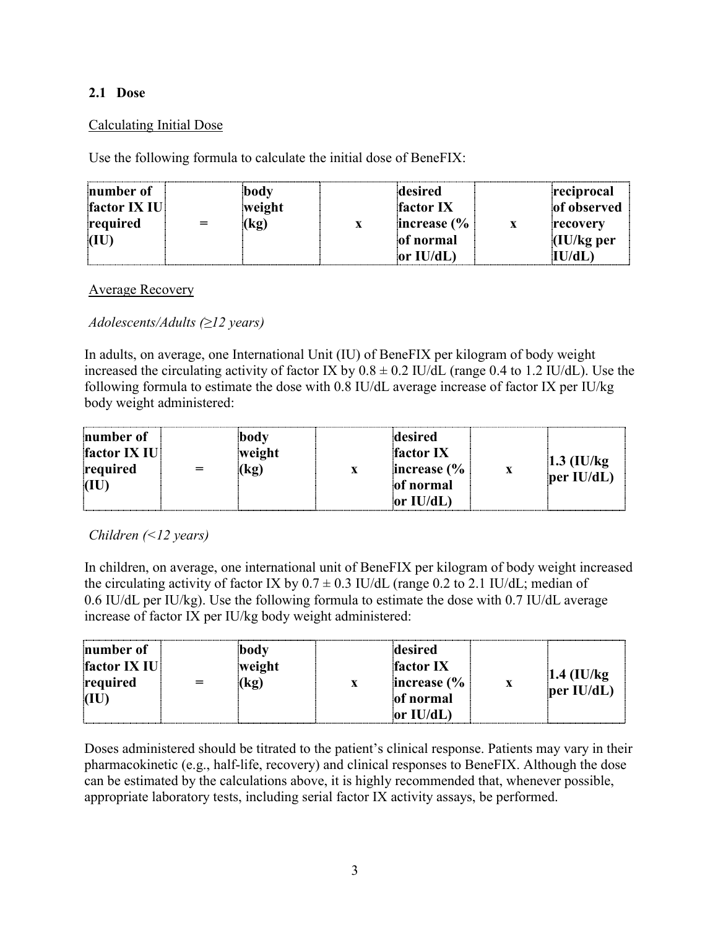### **2.1 Dose**

### Calculating Initial Dose

Use the following formula to calculate the initial dose of BeneFIX:

| number of<br>factor IX IU<br>required<br>(IU | body<br>weight<br>(kg) | desired<br>factor IX<br>increase $\frac{6}{6}$<br>of normal | reciprocal<br>of observed<br>recovery<br>(IU/kg <sub>per</sub> ) |
|----------------------------------------------|------------------------|-------------------------------------------------------------|------------------------------------------------------------------|
|                                              |                        | or $IU/dL$                                                  | IU/dL                                                            |

Average Recovery

*Adolescents/Adults (≥12 years)*

In adults, on average, one International Unit (IU) of BeneFIX per kilogram of body weight increased the circulating activity of factor IX by  $0.8 \pm 0.2$  IU/dL (range 0.4 to 1.2 IU/dL). Use the following formula to estimate the dose with 0.8 IU/dL average increase of factor IX per IU/kg body weight administered:

*Children (<12 years)*

In children, on average, one international unit of BeneFIX per kilogram of body weight increased the circulating activity of factor IX by  $0.7 \pm 0.3$  IU/dL (range 0.2 to 2.1 IU/dL; median of 0.6 IU/dL per IU/kg). Use the following formula to estimate the dose with 0.7 IU/dL average increase of factor IX per IU/kg body weight administered:

| number of<br>body<br>factor IX IU<br>weight<br>required<br>(kg<br>(IU) | desired<br><b>factor IX</b><br>increase $\frac{6}{6}$<br>of normal<br>or $IU/dL$ | $1.4$ (IU/kg)<br>per $IU/dL$ |
|------------------------------------------------------------------------|----------------------------------------------------------------------------------|------------------------------|
|------------------------------------------------------------------------|----------------------------------------------------------------------------------|------------------------------|

Doses administered should be titrated to the patient's clinical response. Patients may vary in their pharmacokinetic (e.g., half-life, recovery) and clinical responses to BeneFIX. Although the dose can be estimated by the calculations above, it is highly recommended that, whenever possible, appropriate laboratory tests, including serial factor IX activity assays, be performed.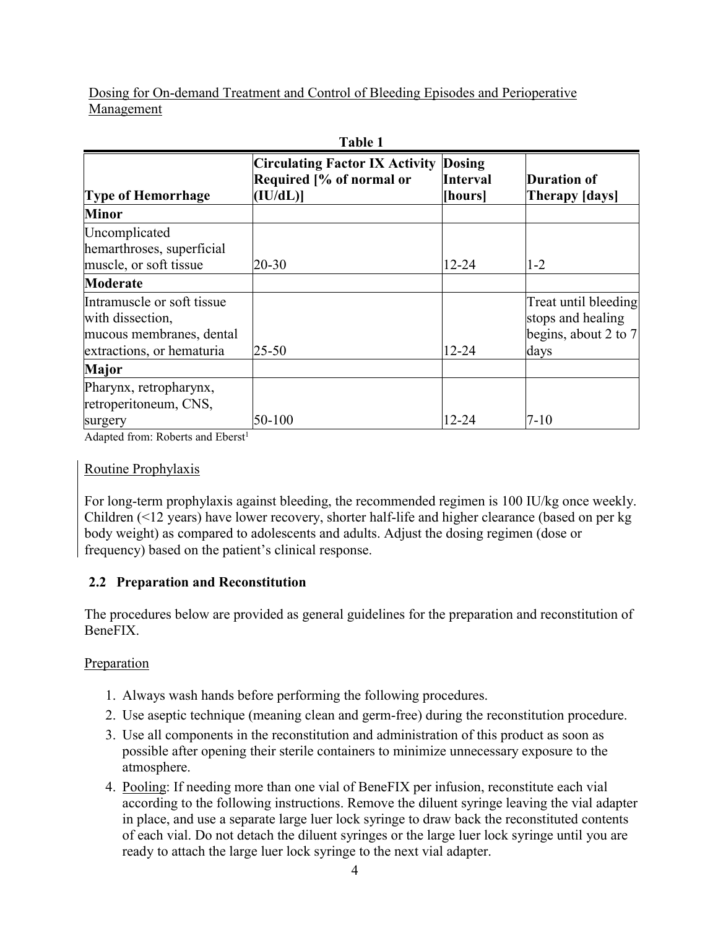Dosing for On-demand Treatment and Control of Bleeding Episodes and Perioperative Management

| 1 avie 1                                                                                                |                                                                                      |                     |                                                                             |  |
|---------------------------------------------------------------------------------------------------------|--------------------------------------------------------------------------------------|---------------------|-----------------------------------------------------------------------------|--|
| <b>Type of Hemorrhage</b>                                                                               | <b>Circulating Factor IX Activity Dosing</b><br>Required [% of normal or<br>(IU/dL)] | Interval<br>[hours] | <b>Duration of</b><br><b>Therapy [days]</b>                                 |  |
| <b>Minor</b>                                                                                            |                                                                                      |                     |                                                                             |  |
| Uncomplicated<br>hemarthroses, superficial<br>muscle, or soft tissue                                    | $20 - 30$                                                                            | $12 - 24$           | $1 - 2$                                                                     |  |
| Moderate                                                                                                |                                                                                      |                     |                                                                             |  |
| Intramuscle or soft tissue<br>with dissection,<br>mucous membranes, dental<br>extractions, or hematuria | $25 - 50$                                                                            | 12-24               | Treat until bleeding<br>stops and healing<br>begins, about 2 to $7$<br>days |  |
| <b>Major</b>                                                                                            |                                                                                      |                     |                                                                             |  |
| Pharynx, retropharynx,<br>retroperitoneum, CNS,<br>surgery                                              | 50-100                                                                               | 12-24               | $7 - 10$                                                                    |  |

**Table 1**

Adapted from: Roberts and Eberst<sup>1</sup>

### Routine Prophylaxis

For long-term prophylaxis against bleeding, the recommended regimen is 100 IU/kg once weekly. Children (<12 years) have lower recovery, shorter half-life and higher clearance (based on per kg body weight) as compared to adolescents and adults. Adjust the dosing regimen (dose or frequency) based on the patient's clinical response.

# **2.2 Preparation and Reconstitution**

The procedures below are provided as general guidelines for the preparation and reconstitution of BeneFIX.

### **Preparation**

- 1. Always wash hands before performing the following procedures.
- 2. Use aseptic technique (meaning clean and germ-free) during the reconstitution procedure.
- 3. Use all components in the reconstitution and administration of this product as soon as possible after opening their sterile containers to minimize unnecessary exposure to the atmosphere.
- 4. Pooling: If needing more than one vial of BeneFIX per infusion, reconstitute each vial according to the following instructions. Remove the diluent syringe leaving the vial adapter in place, and use a separate large luer lock syringe to draw back the reconstituted contents of each vial. Do not detach the diluent syringes or the large luer lock syringe until you are ready to attach the large luer lock syringe to the next vial adapter.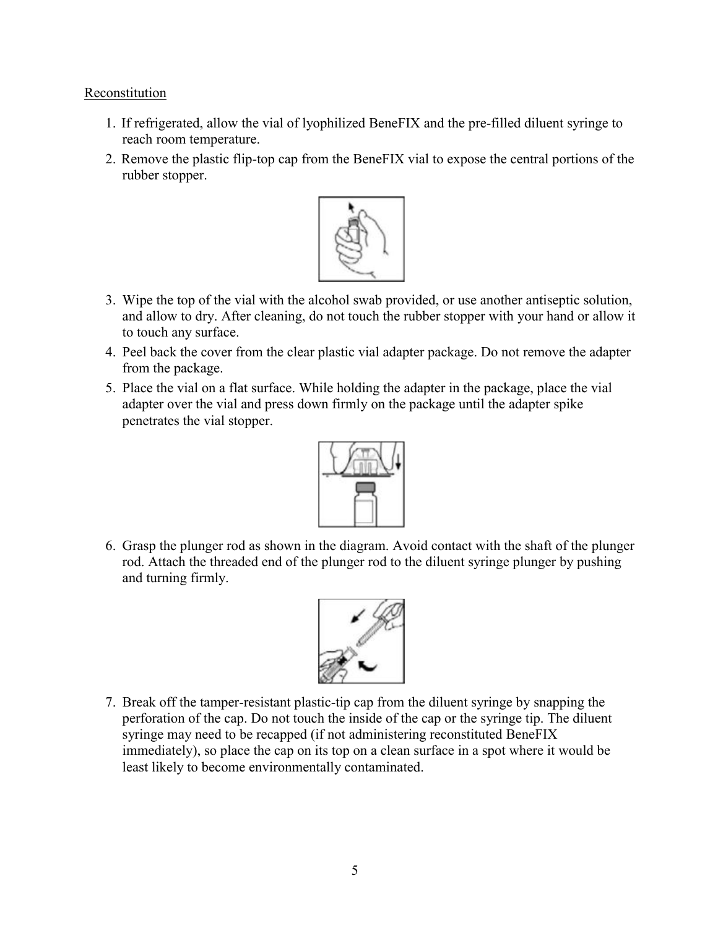#### **Reconstitution**

- 1. If refrigerated, allow the vial of lyophilized BeneFIX and the pre-filled diluent syringe to reach room temperature.
- 2. Remove the plastic flip-top cap from the BeneFIX vial to expose the central portions of the rubber stopper.



- 3. Wipe the top of the vial with the alcohol swab provided, or use another antiseptic solution, and allow to dry. After cleaning, do not touch the rubber stopper with your hand or allow it to touch any surface.
- 4. Peel back the cover from the clear plastic vial adapter package. Do not remove the adapter from the package.
- 5. Place the vial on a flat surface. While holding the adapter in the package, place the vial adapter over the vial and press down firmly on the package until the adapter spike penetrates the vial stopper.



6. Grasp the plunger rod as shown in the diagram. Avoid contact with the shaft of the plunger rod. Attach the threaded end of the plunger rod to the diluent syringe plunger by pushing and turning firmly.



7. Break off the tamper-resistant plastic-tip cap from the diluent syringe by snapping the perforation of the cap. Do not touch the inside of the cap or the syringe tip. The diluent syringe may need to be recapped (if not administering reconstituted BeneFIX immediately), so place the cap on its top on a clean surface in a spot where it would be least likely to become environmentally contaminated.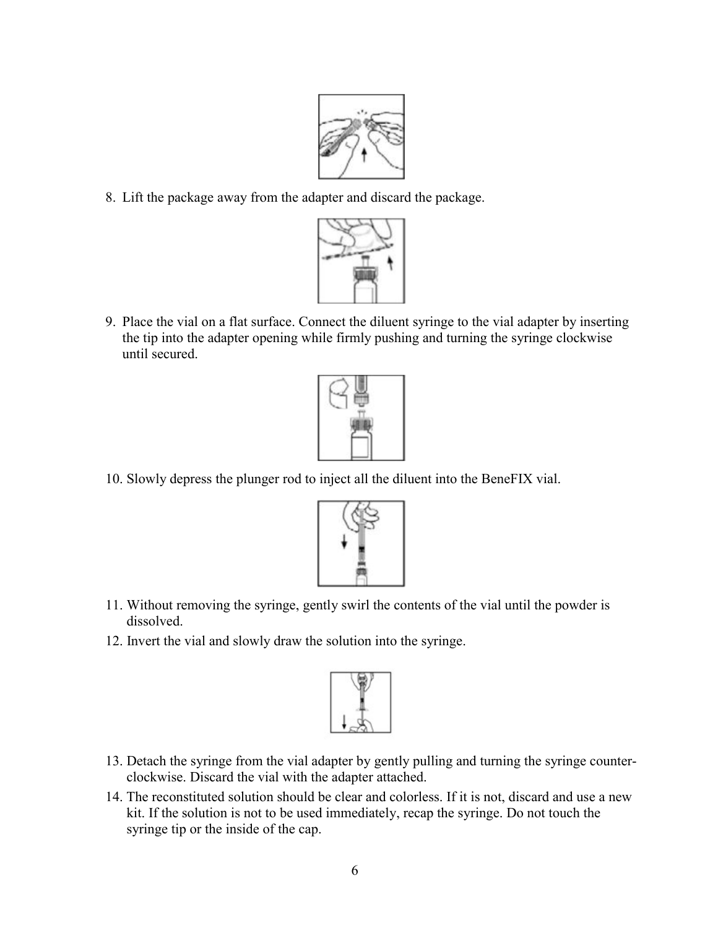

8. Lift the package away from the adapter and discard the package.



9. Place the vial on a flat surface. Connect the diluent syringe to the vial adapter by inserting the tip into the adapter opening while firmly pushing and turning the syringe clockwise until secured.



10. Slowly depress the plunger rod to inject all the diluent into the BeneFIX vial.



- 11. Without removing the syringe, gently swirl the contents of the vial until the powder is dissolved.
- 12. Invert the vial and slowly draw the solution into the syringe.



- 13. Detach the syringe from the vial adapter by gently pulling and turning the syringe counterclockwise. Discard the vial with the adapter attached.
- 14. The reconstituted solution should be clear and colorless. If it is not, discard and use a new kit. If the solution is not to be used immediately, recap the syringe. Do not touch the syringe tip or the inside of the cap.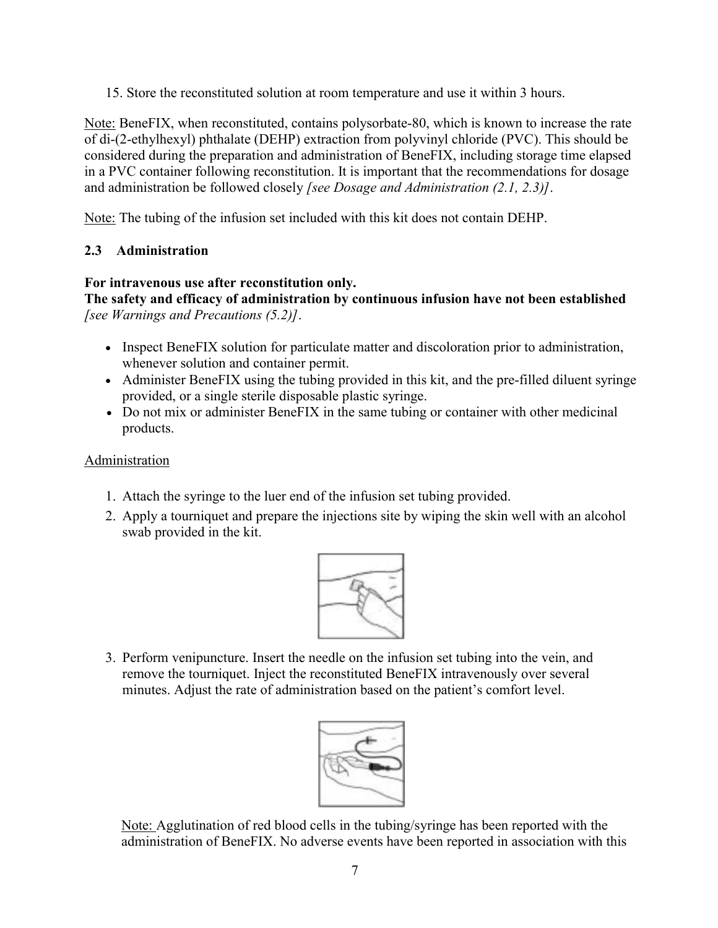15. Store the reconstituted solution at room temperature and use it within 3 hours.

Note: BeneFIX, when reconstituted, contains polysorbate-80, which is known to increase the rate of di-(2-ethylhexyl) phthalate (DEHP) extraction from polyvinyl chloride (PVC). This should be considered during the preparation and administration of BeneFIX, including storage time elapsed in a PVC container following reconstitution. It is important that the recommendations for dosage and administration be followed closely *[see Dosage and Administration (2.1, 2.3)]*.

Note: The tubing of the infusion set included with this kit does not contain DEHP.

## **2.3 Administration**

### **For intravenous use after reconstitution only.**

**The safety and efficacy of administration by continuous infusion have not been established** *[see Warnings and Precautions (5.2)]*.

- Inspect BeneFIX solution for particulate matter and discoloration prior to administration, whenever solution and container permit.
- Administer BeneFIX using the tubing provided in this kit, and the pre-filled diluent syringe provided, or a single sterile disposable plastic syringe.
- Do not mix or administer BeneFIX in the same tubing or container with other medicinal products.

### Administration

- 1. Attach the syringe to the luer end of the infusion set tubing provided.
- 2. Apply a tourniquet and prepare the injections site by wiping the skin well with an alcohol swab provided in the kit.



3. Perform venipuncture. Insert the needle on the infusion set tubing into the vein, and remove the tourniquet. Inject the reconstituted BeneFIX intravenously over several minutes. Adjust the rate of administration based on the patient's comfort level.



Note: Agglutination of red blood cells in the tubing/syringe has been reported with the administration of BeneFIX. No adverse events have been reported in association with this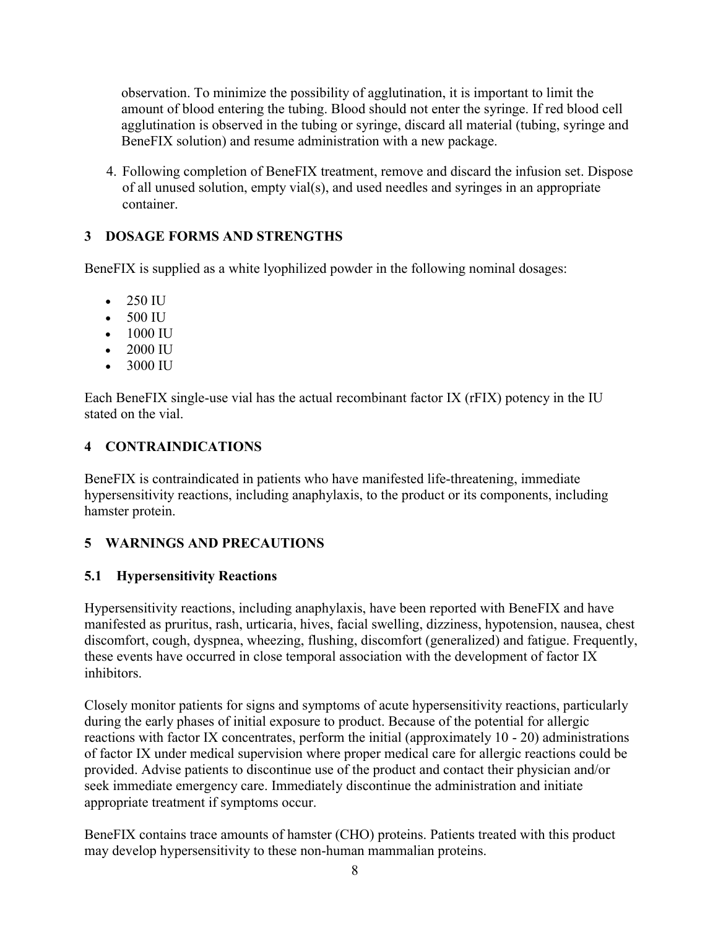observation. To minimize the possibility of agglutination, it is important to limit the amount of blood entering the tubing. Blood should not enter the syringe. If red blood cell agglutination is observed in the tubing or syringe, discard all material (tubing, syringe and BeneFIX solution) and resume administration with a new package.

4. Following completion of BeneFIX treatment, remove and discard the infusion set. Dispose of all unused solution, empty vial(s), and used needles and syringes in an appropriate container.

## **3 DOSAGE FORMS AND STRENGTHS**

BeneFIX is supplied as a white lyophilized powder in the following nominal dosages:

- $\bullet$  250 IU
- 500 IU
- $-1000$  IU
- 2000 IU
- 3000 IU

Each BeneFIX single-use vial has the actual recombinant factor IX (rFIX) potency in the IU stated on the vial.

## **4 CONTRAINDICATIONS**

BeneFIX is contraindicated in patients who have manifested life-threatening, immediate hypersensitivity reactions, including anaphylaxis, to the product or its components, including hamster protein.

### **5 WARNINGS AND PRECAUTIONS**

### **5.1 Hypersensitivity Reactions**

Hypersensitivity reactions, including anaphylaxis, have been reported with BeneFIX and have manifested as pruritus, rash, urticaria, hives, facial swelling, dizziness, hypotension, nausea, chest discomfort, cough, dyspnea, wheezing, flushing, discomfort (generalized) and fatigue. Frequently, these events have occurred in close temporal association with the development of factor IX inhibitors.

Closely monitor patients for signs and symptoms of acute hypersensitivity reactions, particularly during the early phases of initial exposure to product. Because of the potential for allergic reactions with factor IX concentrates, perform the initial (approximately 10 - 20) administrations of factor IX under medical supervision where proper medical care for allergic reactions could be provided. Advise patients to discontinue use of the product and contact their physician and/or seek immediate emergency care. Immediately discontinue the administration and initiate appropriate treatment if symptoms occur.

BeneFIX contains trace amounts of hamster (CHO) proteins. Patients treated with this product may develop hypersensitivity to these non-human mammalian proteins.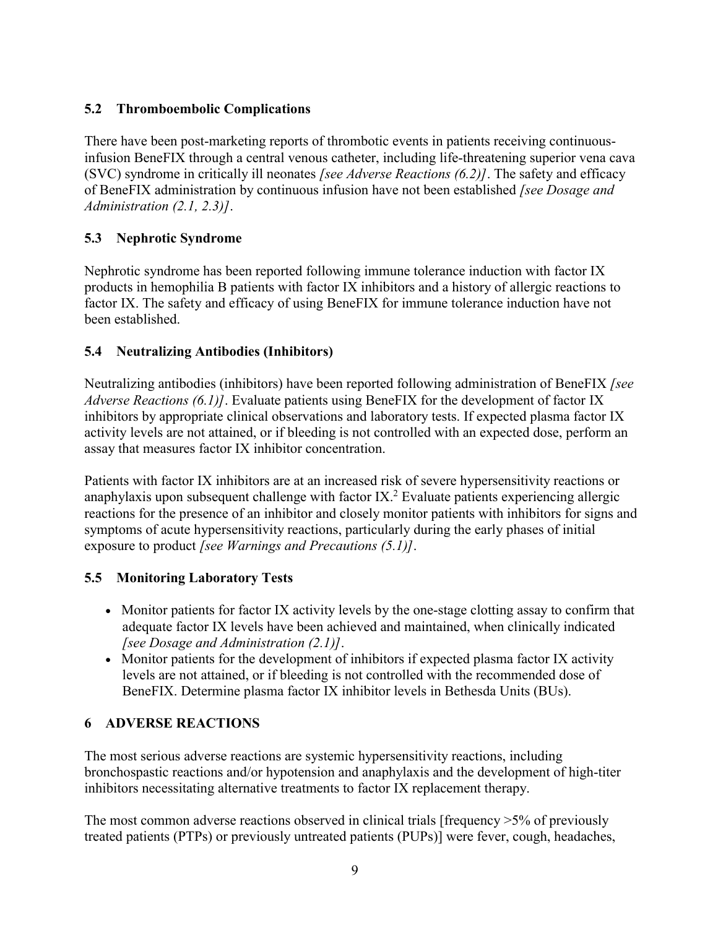# **5.2 Thromboembolic Complications**

There have been post-marketing reports of thrombotic events in patients receiving continuousinfusion BeneFIX through a central venous catheter, including life-threatening superior vena cava (SVC) syndrome in critically ill neonates *[see Adverse Reactions (6.2)]*. The safety and efficacy of BeneFIX administration by continuous infusion have not been established *[see Dosage and Administration (2.1, 2.3)]*.

## **5.3 Nephrotic Syndrome**

Nephrotic syndrome has been reported following immune tolerance induction with factor IX products in hemophilia B patients with factor IX inhibitors and a history of allergic reactions to factor IX. The safety and efficacy of using BeneFIX for immune tolerance induction have not been established.

## **5.4 Neutralizing Antibodies (Inhibitors)**

Neutralizing antibodies (inhibitors) have been reported following administration of BeneFIX *[see Adverse Reactions (6.1)]*. Evaluate patients using BeneFIX for the development of factor IX inhibitors by appropriate clinical observations and laboratory tests. If expected plasma factor IX activity levels are not attained, or if bleeding is not controlled with an expected dose, perform an assay that measures factor IX inhibitor concentration.

Patients with factor IX inhibitors are at an increased risk of severe hypersensitivity reactions or anaphylaxis upon subsequent challenge with factor  $IX<sup>2</sup>$  Evaluate patients experiencing allergic reactions for the presence of an inhibitor and closely monitor patients with inhibitors for signs and symptoms of acute hypersensitivity reactions, particularly during the early phases of initial exposure to product *[see Warnings and Precautions (5.1)]*.

# **5.5 Monitoring Laboratory Tests**

- Monitor patients for factor IX activity levels by the one-stage clotting assay to confirm that adequate factor IX levels have been achieved and maintained, when clinically indicated *[see Dosage and Administration (2.1)]*.
- Monitor patients for the development of inhibitors if expected plasma factor IX activity levels are not attained, or if bleeding is not controlled with the recommended dose of BeneFIX. Determine plasma factor IX inhibitor levels in Bethesda Units (BUs).

# **6 ADVERSE REACTIONS**

The most serious adverse reactions are systemic hypersensitivity reactions, including bronchospastic reactions and/or hypotension and anaphylaxis and the development of high-titer inhibitors necessitating alternative treatments to factor IX replacement therapy.

The most common adverse reactions observed in clinical trials [frequency >5% of previously treated patients (PTPs) or previously untreated patients (PUPs)] were fever, cough, headaches,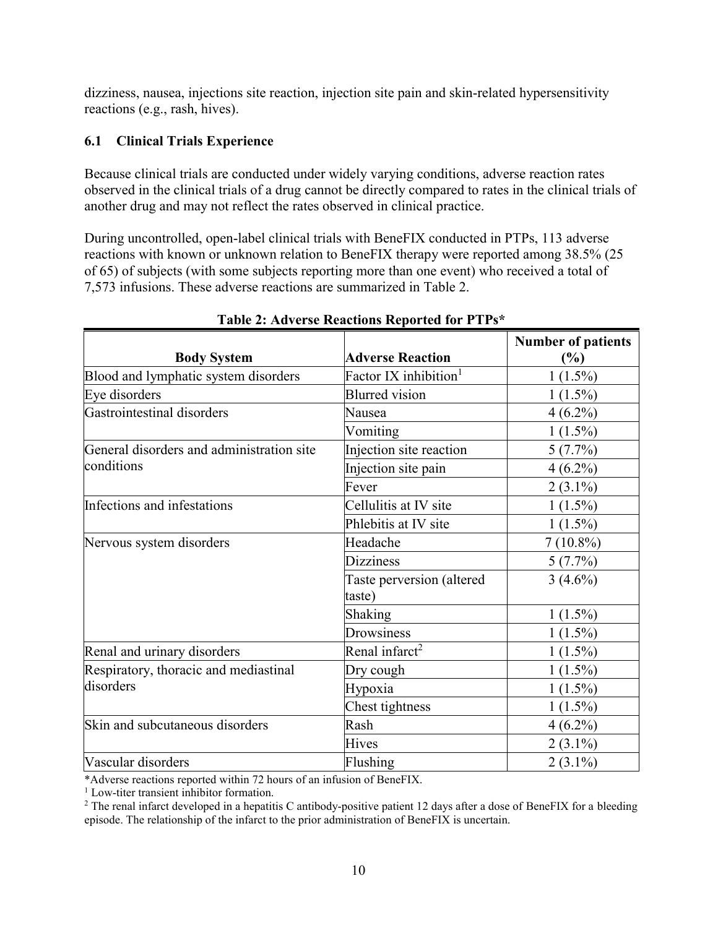dizziness, nausea, injections site reaction, injection site pain and skin-related hypersensitivity reactions (e.g., rash, hives).

### **6.1 Clinical Trials Experience**

Because clinical trials are conducted under widely varying conditions, adverse reaction rates observed in the clinical trials of a drug cannot be directly compared to rates in the clinical trials of another drug and may not reflect the rates observed in clinical practice.

During uncontrolled, open-label clinical trials with BeneFIX conducted in PTPs, 113 adverse reactions with known or unknown relation to BeneFIX therapy were reported among 38.5% (25 of 65) of subjects (with some subjects reporting more than one event) who received a total of 7,573 infusions. These adverse reactions are summarized in Table 2.

|                                           |                                     | <b>Number of patients</b> |
|-------------------------------------------|-------------------------------------|---------------------------|
| <b>Body System</b>                        | <b>Adverse Reaction</b>             | $(\%)$                    |
| Blood and lymphatic system disorders      | Factor IX inhibition <sup>1</sup>   | $1(1.5\%)$                |
| Eye disorders                             | <b>Blurred</b> vision               | $1(1.5\%)$                |
| Gastrointestinal disorders                | Nausea                              | $4(6.2\%)$                |
|                                           | Vomiting                            | $1(1.5\%)$                |
| General disorders and administration site | Injection site reaction             | $5(7.7\%)$                |
| conditions                                | Injection site pain                 | $4(6.2\%)$                |
|                                           | Fever                               | $2(3.1\%)$                |
| Infections and infestations               | Cellulitis at IV site               | $1(1.5\%)$                |
|                                           | Phlebitis at IV site                | $1(1.5\%)$                |
| Nervous system disorders                  | Headache                            | $7(10.8\%)$               |
|                                           | <b>Dizziness</b>                    | 5(7.7%)                   |
|                                           | Taste perversion (altered<br>taste) | $3(4.6\%)$                |
|                                           | Shaking                             | $1(1.5\%)$                |
|                                           | Drowsiness                          | $1(1.5\%)$                |
| Renal and urinary disorders               | Renal infarct <sup>2</sup>          | $1(1.5\%)$                |
| Respiratory, thoracic and mediastinal     | Dry cough                           | $1(1.5\%)$                |
| disorders                                 | Hypoxia                             | $1(1.5\%)$                |
|                                           | Chest tightness                     | $1(1.5\%)$                |
| Skin and subcutaneous disorders           | Rash                                | $4(6.2\%)$                |
|                                           | <b>Hives</b>                        | $2(3.1\%)$                |
| Vascular disorders                        | Flushing                            | $2(3.1\%)$                |

#### **Table 2: Adverse Reactions Reported for PTPs\***

\*Adverse reactions reported within 72 hours of an infusion of BeneFIX.

<sup>1</sup> Low-titer transient inhibitor formation.

 $2$  The renal infarct developed in a hepatitis C antibody-positive patient 12 days after a dose of BeneFIX for a bleeding episode. The relationship of the infarct to the prior administration of BeneFIX is uncertain.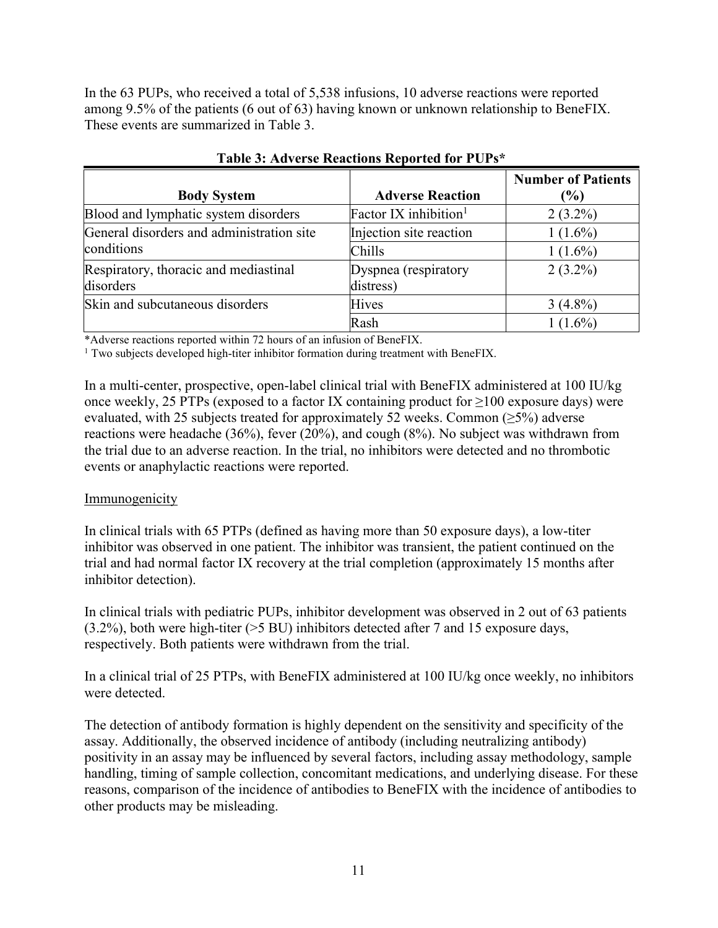In the 63 PUPs, who received a total of 5,538 infusions, 10 adverse reactions were reported among 9.5% of the patients (6 out of 63) having known or unknown relationship to BeneFIX. These events are summarized in Table 3.

| <b>Body System</b>                        | <b>Adverse Reaction</b>           | <b>Number of Patients</b><br>$\binom{0}{0}$ |
|-------------------------------------------|-----------------------------------|---------------------------------------------|
| Blood and lymphatic system disorders      | Factor IX inhibition <sup>1</sup> | $2(3.2\%)$                                  |
| General disorders and administration site | Injection site reaction           | $1(1.6\%)$                                  |
| conditions                                | Chills                            | $1(1.6\%)$                                  |
| Respiratory, thoracic and mediastinal     | Dyspnea (respiratory              | $2(3.2\%)$                                  |
| disorders                                 | distress)                         |                                             |
| Skin and subcutaneous disorders           | <b>Hives</b>                      | $3(4.8\%)$                                  |
|                                           | Rash                              | $1(1.6\%)$                                  |

**Table 3: Adverse Reactions Reported for PUPs\***

\*Adverse reactions reported within 72 hours of an infusion of BeneFIX.

<sup>1</sup> Two subjects developed high-titer inhibitor formation during treatment with BeneFIX.

In a multi-center, prospective, open-label clinical trial with BeneFIX administered at 100 IU/kg once weekly, 25 PTPs (exposed to a factor IX containing product for  $\geq$ 100 exposure days) were evaluated, with 25 subjects treated for approximately 52 weeks. Common ( $\geq$ 5%) adverse reactions were headache (36%), fever (20%), and cough (8%). No subject was withdrawn from the trial due to an adverse reaction. In the trial, no inhibitors were detected and no thrombotic events or anaphylactic reactions were reported.

### **Immunogenicity**

In clinical trials with 65 PTPs (defined as having more than 50 exposure days), a low-titer inhibitor was observed in one patient. The inhibitor was transient, the patient continued on the trial and had normal factor IX recovery at the trial completion (approximately 15 months after inhibitor detection).

In clinical trials with pediatric PUPs, inhibitor development was observed in 2 out of 63 patients (3.2%), both were high-titer (>5 BU) inhibitors detected after 7 and 15 exposure days, respectively. Both patients were withdrawn from the trial.

In a clinical trial of 25 PTPs, with BeneFIX administered at 100 IU/kg once weekly, no inhibitors were detected.

The detection of antibody formation is highly dependent on the sensitivity and specificity of the assay. Additionally, the observed incidence of antibody (including neutralizing antibody) positivity in an assay may be influenced by several factors, including assay methodology, sample handling, timing of sample collection, concomitant medications, and underlying disease. For these reasons, comparison of the incidence of antibodies to BeneFIX with the incidence of antibodies to other products may be misleading.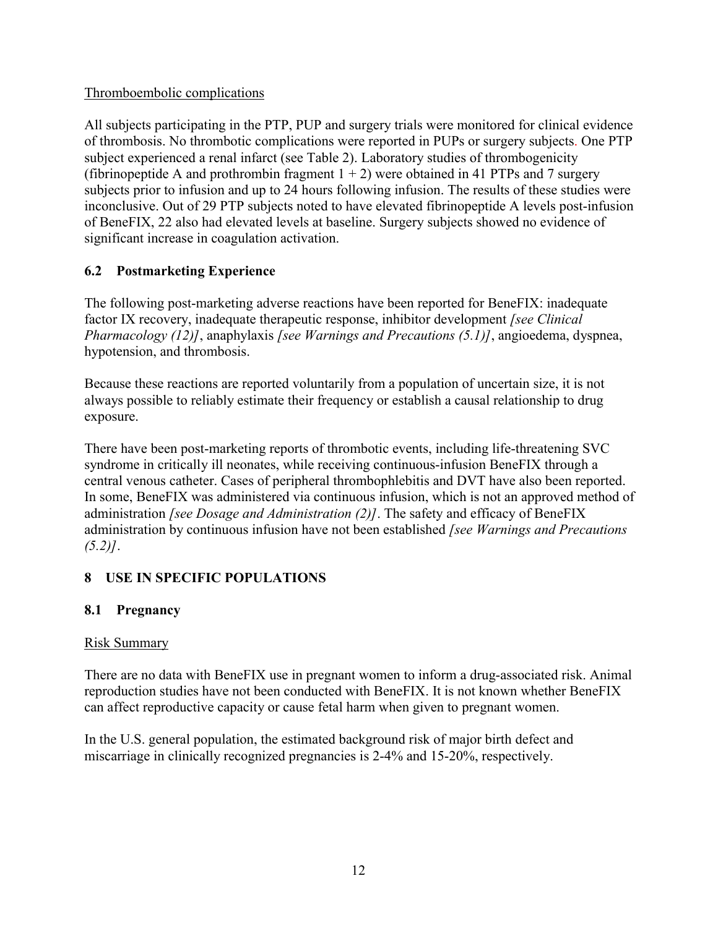## Thromboembolic complications

All subjects participating in the PTP, PUP and surgery trials were monitored for clinical evidence of thrombosis. No thrombotic complications were reported in PUPs or surgery subjects. One PTP subject experienced a renal infarct (see Table 2). Laboratory studies of thrombogenicity (fibrinopeptide A and prothrombin fragment  $1 + 2$ ) were obtained in 41 PTPs and 7 surgery subjects prior to infusion and up to 24 hours following infusion. The results of these studies were inconclusive. Out of 29 PTP subjects noted to have elevated fibrinopeptide A levels post-infusion of BeneFIX, 22 also had elevated levels at baseline. Surgery subjects showed no evidence of significant increase in coagulation activation.

# **6.2 Postmarketing Experience**

The following post-marketing adverse reactions have been reported for BeneFIX: inadequate factor IX recovery, inadequate therapeutic response, inhibitor development *[see Clinical Pharmacology (12)]*, anaphylaxis *[see Warnings and Precautions (5.1)]*, angioedema, dyspnea, hypotension, and thrombosis.

Because these reactions are reported voluntarily from a population of uncertain size, it is not always possible to reliably estimate their frequency or establish a causal relationship to drug exposure.

There have been post-marketing reports of thrombotic events, including life-threatening SVC syndrome in critically ill neonates, while receiving continuous-infusion BeneFIX through a central venous catheter. Cases of peripheral thrombophlebitis and DVT have also been reported. In some, BeneFIX was administered via continuous infusion, which is not an approved method of administration *[see Dosage and Administration (2)]*. The safety and efficacy of BeneFIX administration by continuous infusion have not been established *[see Warnings and Precautions (5.2)]*.

# **8 USE IN SPECIFIC POPULATIONS**

# **8.1 Pregnancy**

# Risk Summary

There are no data with BeneFIX use in pregnant women to inform a drug-associated risk. Animal reproduction studies have not been conducted with BeneFIX. It is not known whether BeneFIX can affect reproductive capacity or cause fetal harm when given to pregnant women.

In the U.S. general population, the estimated background risk of major birth defect and miscarriage in clinically recognized pregnancies is 2-4% and 15-20%, respectively.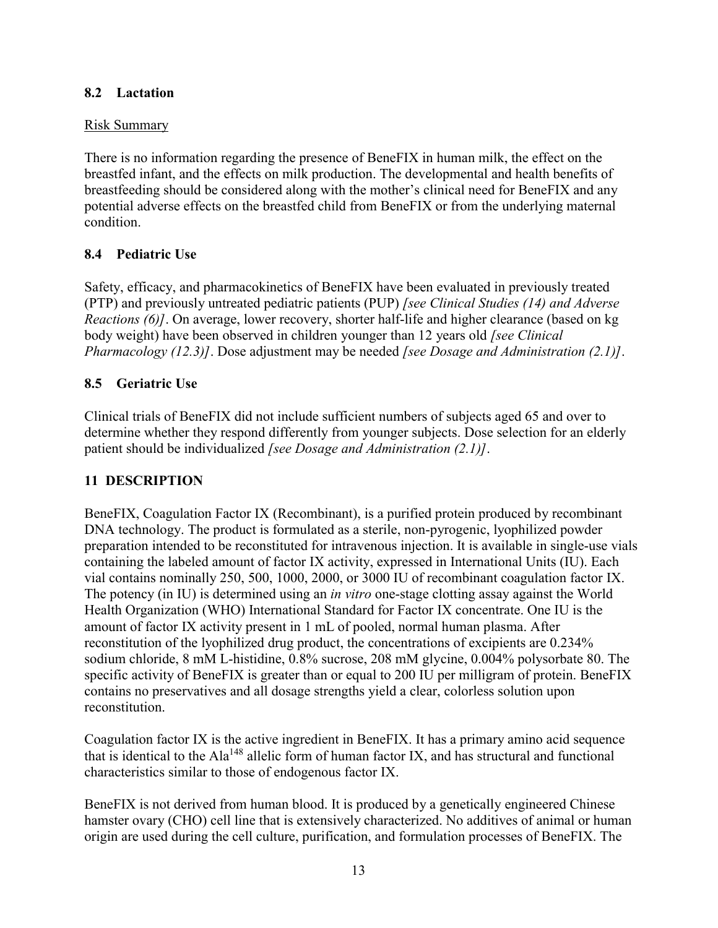### **8.2 Lactation**

## Risk Summary

There is no information regarding the presence of BeneFIX in human milk, the effect on the breastfed infant, and the effects on milk production. The developmental and health benefits of breastfeeding should be considered along with the mother's clinical need for BeneFIX and any potential adverse effects on the breastfed child from BeneFIX or from the underlying maternal condition.

# **8.4 Pediatric Use**

Safety, efficacy, and pharmacokinetics of BeneFIX have been evaluated in previously treated (PTP) and previously untreated pediatric patients (PUP) *[see Clinical Studies (14) and Adverse Reactions (6)]*. On average, lower recovery, shorter half-life and higher clearance (based on kg body weight) have been observed in children younger than 12 years old *[see Clinical Pharmacology (12.3)]*. Dose adjustment may be needed *[see Dosage and Administration (2.1)]*.

# **8.5 Geriatric Use**

Clinical trials of BeneFIX did not include sufficient numbers of subjects aged 65 and over to determine whether they respond differently from younger subjects. Dose selection for an elderly patient should be individualized *[see Dosage and Administration (2.1)]*.

# **11 DESCRIPTION**

BeneFIX, Coagulation Factor IX (Recombinant), is a purified protein produced by recombinant DNA technology. The product is formulated as a sterile, non-pyrogenic, lyophilized powder preparation intended to be reconstituted for intravenous injection. It is available in single-use vials containing the labeled amount of factor IX activity, expressed in International Units (IU). Each vial contains nominally 250, 500, 1000, 2000, or 3000 IU of recombinant coagulation factor IX. The potency (in IU) is determined using an *in vitro* one-stage clotting assay against the World Health Organization (WHO) International Standard for Factor IX concentrate. One IU is the amount of factor IX activity present in 1 mL of pooled, normal human plasma. After reconstitution of the lyophilized drug product, the concentrations of excipients are 0.234% sodium chloride, 8 mM L-histidine, 0.8% sucrose, 208 mM glycine, 0.004% polysorbate 80. The specific activity of BeneFIX is greater than or equal to 200 IU per milligram of protein. BeneFIX contains no preservatives and all dosage strengths yield a clear, colorless solution upon reconstitution.

Coagulation factor IX is the active ingredient in BeneFIX. It has a primary amino acid sequence that is identical to the Ala<sup>148</sup> allelic form of human factor IX, and has structural and functional characteristics similar to those of endogenous factor IX.

BeneFIX is not derived from human blood. It is produced by a genetically engineered Chinese hamster ovary (CHO) cell line that is extensively characterized. No additives of animal or human origin are used during the cell culture, purification, and formulation processes of BeneFIX. The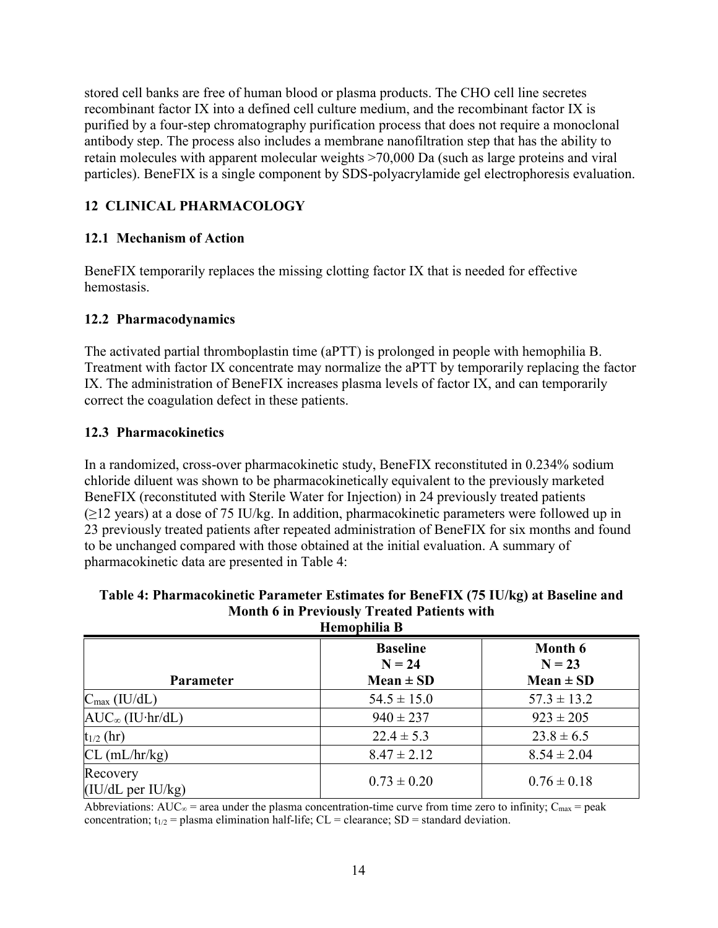stored cell banks are free of human blood or plasma products. The CHO cell line secretes recombinant factor IX into a defined cell culture medium, and the recombinant factor IX is purified by a four-step chromatography purification process that does not require a monoclonal antibody step. The process also includes a membrane nanofiltration step that has the ability to retain molecules with apparent molecular weights >70,000 Da (such as large proteins and viral particles). BeneFIX is a single component by SDS-polyacrylamide gel electrophoresis evaluation.

# **12 CLINICAL PHARMACOLOGY**

# **12.1 Mechanism of Action**

BeneFIX temporarily replaces the missing clotting factor IX that is needed for effective hemostasis.

## **12.2 Pharmacodynamics**

The activated partial thromboplastin time (aPTT) is prolonged in people with hemophilia B. Treatment with factor IX concentrate may normalize the aPTT by temporarily replacing the factor IX. The administration of BeneFIX increases plasma levels of factor IX, and can temporarily correct the coagulation defect in these patients.

### **12.3 Pharmacokinetics**

In a randomized, cross-over pharmacokinetic study, BeneFIX reconstituted in 0.234% sodium chloride diluent was shown to be pharmacokinetically equivalent to the previously marketed BeneFIX (reconstituted with Sterile Water for Injection) in 24 previously treated patients  $(\geq)$  years) at a dose of 75 IU/kg. In addition, pharmacokinetic parameters were followed up in 23 previously treated patients after repeated administration of BeneFIX for six months and found to be unchanged compared with those obtained at the initial evaluation. A summary of pharmacokinetic data are presented in Table 4:

| Table 4: Pharmacokinetic Parameter Estimates for BeneFIX (75 IU/kg) at Baseline and |
|-------------------------------------------------------------------------------------|
| <b>Month 6 in Previously Treated Patients with</b>                                  |
| Hamanhilia R                                                                        |

| пешоршша в                    |                             |                     |  |  |
|-------------------------------|-----------------------------|---------------------|--|--|
|                               | <b>Baseline</b><br>$N = 24$ | Month 6<br>$N = 23$ |  |  |
| <b>Parameter</b>              | $Mean \pm SD$               | $Mean \pm SD$       |  |  |
| $C_{\text{max}}$ (IU/dL)      | $54.5 \pm 15.0$             | $57.3 \pm 13.2$     |  |  |
| $AUC_{\infty}$ (IU·hr/dL)     | $940 \pm 237$               | $923 \pm 205$       |  |  |
| $t_{1/2}$ (hr)                | $22.4 \pm 5.3$              | $23.8 \pm 6.5$      |  |  |
| $CL$ (mL/hr/kg)               | $8.47 \pm 2.12$             | $8.54 \pm 2.04$     |  |  |
| Recovery<br>(IU/dL per IU/kg) | $0.73 \pm 0.20$             | $0.76 \pm 0.18$     |  |  |

Abbreviations: AUC<sub>∞</sub> = area under the plasma concentration-time curve from time zero to infinity; C<sub>max</sub> = peak concentration;  $t_{1/2}$  = plasma elimination half-life; CL = clearance; SD = standard deviation.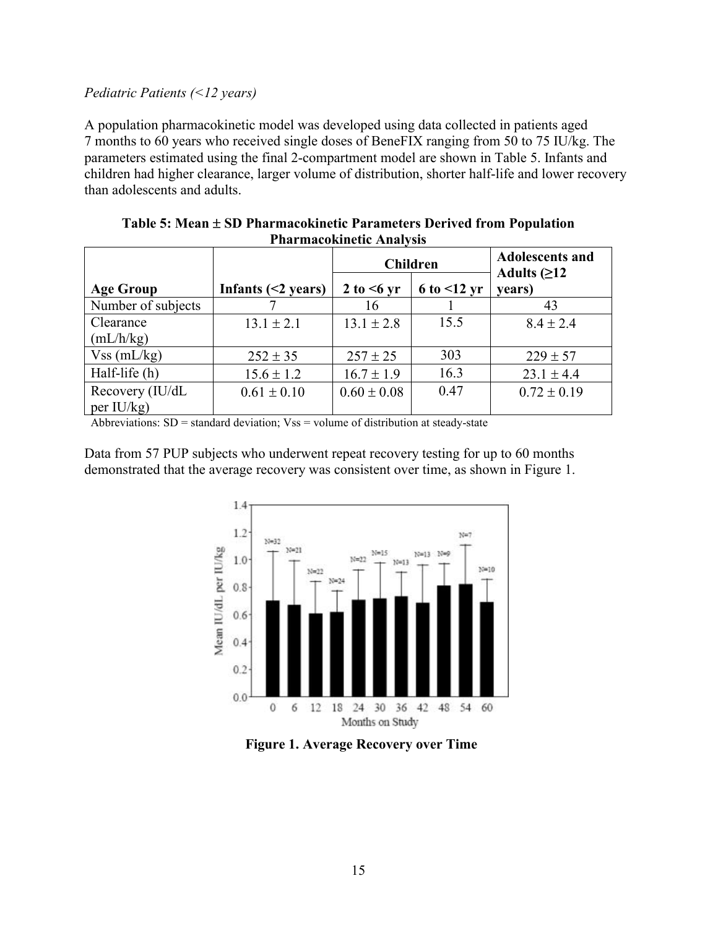#### *Pediatric Patients (<12 years)*

A population pharmacokinetic model was developed using data collected in patients aged 7 months to 60 years who received single doses of BeneFIX ranging from 50 to 75 IU/kg. The parameters estimated using the final 2-compartment model are shown in Table 5. Infants and children had higher clearance, larger volume of distribution, shorter half-life and lower recovery than adolescents and adults.

| 1 1181 11180 0 111110 010 1 11181 1 919 |                          |                  |                     |                                          |  |  |
|-----------------------------------------|--------------------------|------------------|---------------------|------------------------------------------|--|--|
|                                         |                          | <b>Children</b>  |                     | <b>Adolescents and</b><br>Adults $(≥12)$ |  |  |
| <b>Age Group</b>                        | Infants $(\leq 2$ years) | 2 to $\leq 6$ yr | $6$ to $\leq 12$ yr | years)                                   |  |  |
| Number of subjects                      |                          | 16               |                     | 43                                       |  |  |
| Clearance                               | $13.1 \pm 2.1$           | $13.1 \pm 2.8$   | 15.5                | $8.4 \pm 2.4$                            |  |  |
| (mL/h/kg)                               |                          |                  |                     |                                          |  |  |
| $Vss$ (mL/kg)                           | $252 \pm 35$             | $257 \pm 25$     | 303                 | $229 \pm 57$                             |  |  |
| Half-life (h)                           | $15.6 \pm 1.2$           | $16.7 \pm 1.9$   | 16.3                | $23.1 \pm 4.4$                           |  |  |
| Recovery (IU/dL                         | $0.61 \pm 0.10$          | $0.60 \pm 0.08$  | 0.47                | $0.72 \pm 0.19$                          |  |  |
| per $IU/kg$                             |                          |                  |                     |                                          |  |  |

**Table 5: Mean SD Pharmacokinetic Parameters Derived from Population Pharmacokinetic Analysis**

Abbreviations: SD = standard deviation; Vss = volume of distribution at steady-state

Data from 57 PUP subjects who underwent repeat recovery testing for up to 60 months demonstrated that the average recovery was consistent over time, as shown in Figure 1.



**Figure 1. Average Recovery over Time**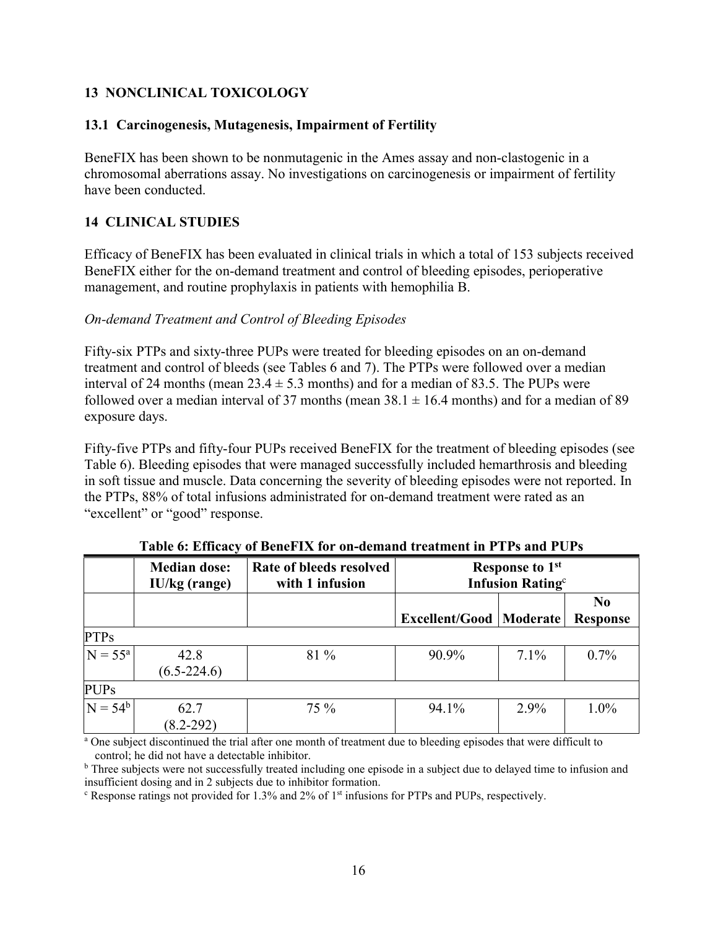# **13 NONCLINICAL TOXICOLOGY**

#### **13.1 Carcinogenesis, Mutagenesis, Impairment of Fertility**

BeneFIX has been shown to be nonmutagenic in the Ames assay and non-clastogenic in a chromosomal aberrations assay. No investigations on carcinogenesis or impairment of fertility have been conducted.

### **14 CLINICAL STUDIES**

Efficacy of BeneFIX has been evaluated in clinical trials in which a total of 153 subjects received BeneFIX either for the on-demand treatment and control of bleeding episodes, perioperative management, and routine prophylaxis in patients with hemophilia B.

#### *On-demand Treatment and Control of Bleeding Episodes*

Fifty-six PTPs and sixty-three PUPs were treated for bleeding episodes on an on-demand treatment and control of bleeds (see Tables 6 and 7). The PTPs were followed over a median interval of 24 months (mean  $23.4 \pm 5.3$  months) and for a median of 83.5. The PUPs were followed over a median interval of 37 months (mean  $38.1 \pm 16.4$  months) and for a median of 89 exposure days.

Fifty-five PTPs and fifty-four PUPs received BeneFIX for the treatment of bleeding episodes (see Table 6). Bleeding episodes that were managed successfully included hemarthrosis and bleeding in soft tissue and muscle. Data concerning the severity of bleeding episodes were not reported. In the PTPs, 88% of total infusions administrated for on-demand treatment were rated as an "excellent" or "good" response.

|              | <b>Median dose:</b><br>IU/kg (range) | Rate of bleeds resolved<br>with 1 infusion | <b>Response to 1st</b><br><b>Infusion Rating</b> <sup>c</sup> |         |                                   |
|--------------|--------------------------------------|--------------------------------------------|---------------------------------------------------------------|---------|-----------------------------------|
|              |                                      |                                            | <b>Excellent/Good   Moderate  </b>                            |         | N <sub>0</sub><br><b>Response</b> |
| <b>PTPs</b>  |                                      |                                            |                                                               |         |                                   |
| $N = 55^{a}$ | 42.8<br>$(6.5 - 224.6)$              | 81 %                                       | 90.9%                                                         | $7.1\%$ | $0.7\%$                           |
| <b>PUPs</b>  |                                      |                                            |                                                               |         |                                   |
| $N = 54^b$   | 62.7<br>$(8.2 - 292)$                | 75 %                                       | 94.1%                                                         | $2.9\%$ | 1.0%                              |

**Table 6: Efficacy of BeneFIX for on-demand treatment in PTPs and PUPs** 

<sup>a</sup> One subject discontinued the trial after one month of treatment due to bleeding episodes that were difficult to control; he did not have a detectable inhibitor.

<sup>b</sup> Three subjects were not successfully treated including one episode in a subject due to delayed time to infusion and insufficient dosing and in 2 subjects due to inhibitor formation.

<sup>c</sup> Response ratings not provided for 1.3% and 2% of 1st infusions for PTPs and PUPs, respectively.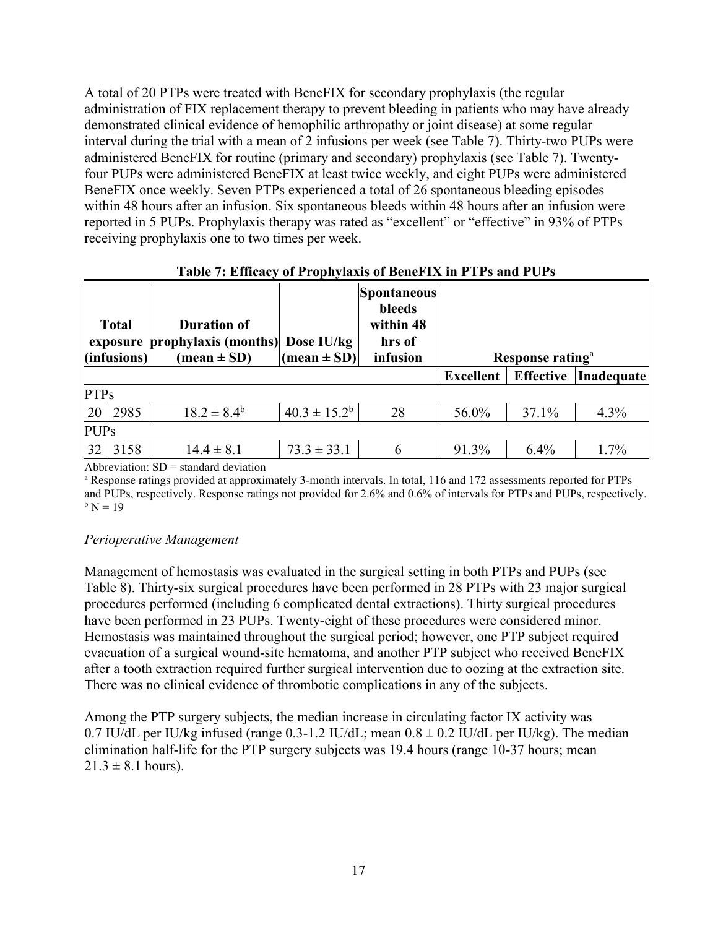A total of 20 PTPs were treated with BeneFIX for secondary prophylaxis (the regular administration of FIX replacement therapy to prevent bleeding in patients who may have already demonstrated clinical evidence of hemophilic arthropathy or joint disease) at some regular interval during the trial with a mean of 2 infusions per week (see Table 7). Thirty-two PUPs were administered BeneFIX for routine (primary and secondary) prophylaxis (see Table 7). Twentyfour PUPs were administered BeneFIX at least twice weekly, and eight PUPs were administered BeneFIX once weekly. Seven PTPs experienced a total of 26 spontaneous bleeding episodes within 48 hours after an infusion. Six spontaneous bleeds within 48 hours after an infusion were reported in 5 PUPs. Prophylaxis therapy was rated as "excellent" or "effective" in 93% of PTPs receiving prophylaxis one to two times per week.

|             | <b>Total</b><br>(infusions) | <b>Duration of</b><br>exposure prophylaxis (months) Dose IU/kg<br>$(\text{mean} \pm \text{SD})$ | $\vert$ (mean ± SD) $\vert$ | Spontaneous <br>bleeds<br>within 48<br>hrs of<br>infusion |                  | Response rating <sup>a</sup> |                   |
|-------------|-----------------------------|-------------------------------------------------------------------------------------------------|-----------------------------|-----------------------------------------------------------|------------------|------------------------------|-------------------|
|             |                             |                                                                                                 |                             |                                                           | <b>Excellent</b> | <b>Effective</b>             | <b>Inadequate</b> |
| <b>PTPs</b> |                             |                                                                                                 |                             |                                                           |                  |                              |                   |
| 20          | 2985                        | $18.2 \pm 8.4^{\rm b}$                                                                          | $40.3 \pm 15.2^b$           | 28                                                        | 56.0%            | 37.1%                        | 4.3%              |
| <b>PUPs</b> |                             |                                                                                                 |                             |                                                           |                  |                              |                   |
| 32          | 3158                        | $14.4 \pm 8.1$                                                                                  | $73.3 \pm 33.1$             | 6                                                         | 91.3%            | 6.4%                         | 1.7%              |

| Table 7: Efficacy of Prophylaxis of BeneFIX in PTPs and PUPs |  |  |  |
|--------------------------------------------------------------|--|--|--|
|--------------------------------------------------------------|--|--|--|

Abbreviation:  $SD =$  standard deviation

<sup>a</sup> Response ratings provided at approximately 3-month intervals. In total, 116 and 172 assessments reported for PTPs and PUPs, respectively. Response ratings not provided for 2.6% and 0.6% of intervals for PTPs and PUPs, respectively.  $b$  N = 19

#### *Perioperative Management*

Management of hemostasis was evaluated in the surgical setting in both PTPs and PUPs (see Table 8). Thirty-six surgical procedures have been performed in 28 PTPs with 23 major surgical procedures performed (including 6 complicated dental extractions). Thirty surgical procedures have been performed in 23 PUPs. Twenty-eight of these procedures were considered minor. Hemostasis was maintained throughout the surgical period; however, one PTP subject required evacuation of a surgical wound-site hematoma, and another PTP subject who received BeneFIX after a tooth extraction required further surgical intervention due to oozing at the extraction site. There was no clinical evidence of thrombotic complications in any of the subjects.

Among the PTP surgery subjects, the median increase in circulating factor IX activity was 0.7 IU/dL per IU/kg infused (range 0.3-1.2 IU/dL; mean  $0.8 \pm 0.2$  IU/dL per IU/kg). The median elimination half-life for the PTP surgery subjects was 19.4 hours (range 10-37 hours; mean  $21.3 \pm 8.1$  hours).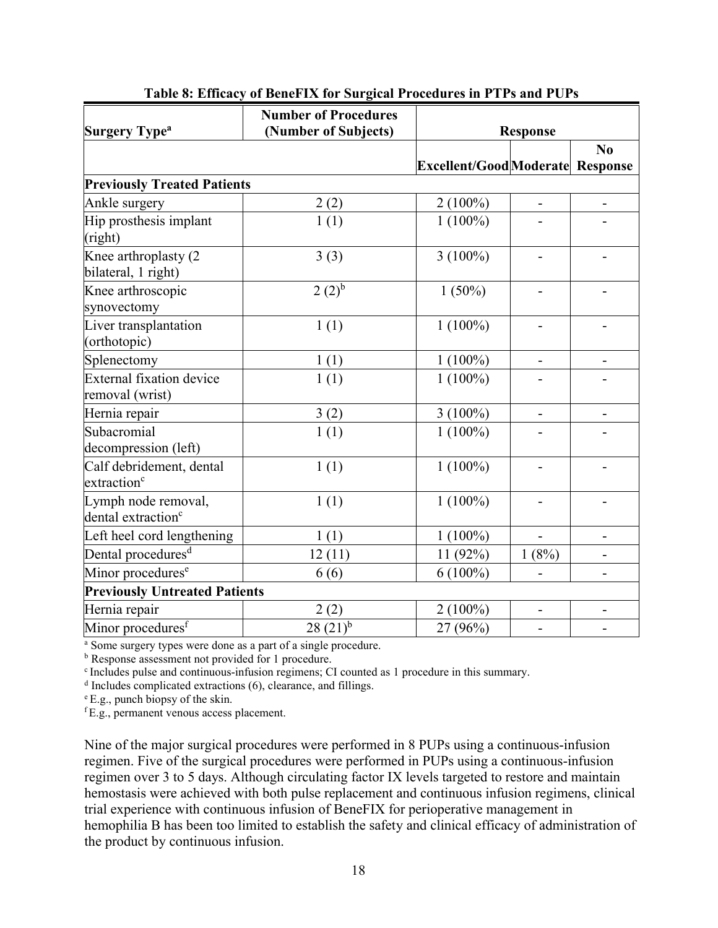| <b>Surgery Type<sup>a</sup></b>                       | <b>Number of Procedures</b><br>(Number of Subjects) | <b>Response</b>                         |                          |                |
|-------------------------------------------------------|-----------------------------------------------------|-----------------------------------------|--------------------------|----------------|
|                                                       |                                                     |                                         |                          | N <sub>0</sub> |
|                                                       |                                                     | <b>Excellent/Good</b> Moderate Response |                          |                |
| <b>Previously Treated Patients</b>                    |                                                     |                                         |                          |                |
| Ankle surgery                                         | 2(2)                                                | $2(100\%)$                              | $\overline{\phantom{0}}$ |                |
| Hip prosthesis implant<br>(right)                     | 1(1)                                                | $1(100\%)$                              |                          |                |
| Knee arthroplasty (2<br>bilateral, 1 right)           | 3(3)                                                | $3(100\%)$                              |                          |                |
| Knee arthroscopic<br>synovectomy                      | $2(2)^{b}$                                          | $1(50\%)$                               |                          |                |
| Liver transplantation<br>(orthotopic)                 | 1(1)                                                | $1(100\%)$                              |                          |                |
| Splenectomy                                           | 1(1)                                                | $1(100\%)$                              |                          |                |
| <b>External fixation device</b><br>removal (wrist)    | 1(1)                                                | $1(100\%)$                              |                          |                |
| Hernia repair                                         | 3(2)                                                | $3(100\%)$                              |                          |                |
| Subacromial<br>decompression (left)                   | 1(1)                                                | $1(100\%)$                              |                          |                |
| Calf debridement, dental<br>extraction <sup>c</sup>   | 1(1)                                                | $1(100\%)$                              |                          |                |
| Lymph node removal,<br>dental extraction <sup>c</sup> | 1(1)                                                | $1(100\%)$                              |                          |                |
| Left heel cord lengthening                            | 1(1)                                                | $1(100\%)$                              | $\overline{a}$           |                |
| Dental procedures <sup>d</sup>                        | 12(11)                                              | 11 (92%)                                | 1(8%)                    |                |
| Minor procedures <sup>e</sup>                         | 6(6)                                                | $6(100\%)$                              |                          |                |
| <b>Previously Untreated Patients</b>                  |                                                     |                                         |                          |                |
| Hernia repair                                         | 2(2)                                                | $2(100\%)$                              | -                        |                |
| Minor procedures <sup>f</sup>                         | $28(21)^{b}$                                        | 27 (96%)                                |                          |                |

**Table 8: Efficacy of BeneFIX for Surgical Procedures in PTPs and PUPs** 

<sup>a</sup> Some surgery types were done as a part of a single procedure.

**b** Response assessment not provided for 1 procedure.

c Includes pulse and continuous-infusion regimens; CI counted as 1 procedure in this summary.

<sup>d</sup> Includes complicated extractions (6), clearance, and fillings.

 $E.g.,$  punch biopsy of the skin.

<sup>f</sup> E.g., permanent venous access placement.

Nine of the major surgical procedures were performed in 8 PUPs using a continuous-infusion regimen. Five of the surgical procedures were performed in PUPs using a continuous-infusion regimen over 3 to 5 days. Although circulating factor IX levels targeted to restore and maintain hemostasis were achieved with both pulse replacement and continuous infusion regimens, clinical trial experience with continuous infusion of BeneFIX for perioperative management in hemophilia B has been too limited to establish the safety and clinical efficacy of administration of the product by continuous infusion.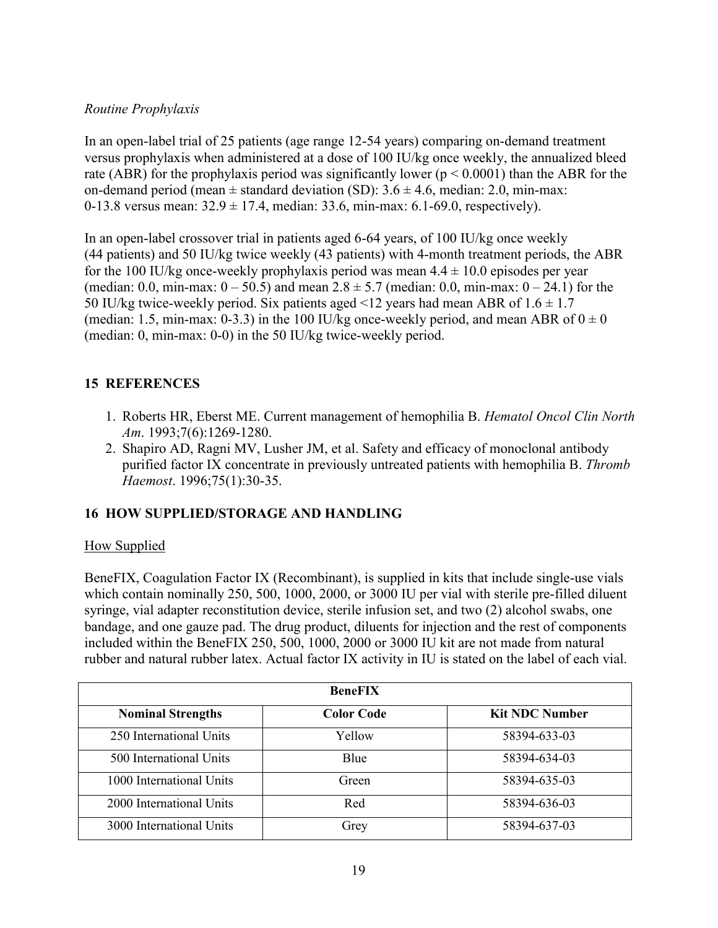### *Routine Prophylaxis*

In an open-label trial of 25 patients (age range 12-54 years) comparing on-demand treatment versus prophylaxis when administered at a dose of 100 IU/kg once weekly, the annualized bleed rate (ABR) for the prophylaxis period was significantly lower ( $p \le 0.0001$ ) than the ABR for the on-demand period (mean  $\pm$  standard deviation (SD):  $3.6 \pm 4.6$ , median: 2.0, min-max: 0-13.8 versus mean:  $32.9 \pm 17.4$ , median: 33.6, min-max: 6.1-69.0, respectively).

In an open-label crossover trial in patients aged 6-64 years, of 100 IU/kg once weekly (44 patients) and 50 IU/kg twice weekly (43 patients) with 4-month treatment periods, the ABR for the 100 IU/kg once-weekly prophylaxis period was mean  $4.4 \pm 10.0$  episodes per year (median: 0.0, min-max:  $0 - 50.5$ ) and mean  $2.8 \pm 5.7$  (median: 0.0, min-max:  $0 - 24.1$ ) for the 50 IU/kg twice-weekly period. Six patients aged <12 years had mean ABR of  $1.6 \pm 1.7$ (median: 1.5, min-max: 0-3.3) in the 100 IU/kg once-weekly period, and mean ABR of  $0 \pm 0$ (median: 0, min-max: 0-0) in the 50 IU/kg twice-weekly period.

# **15 REFERENCES**

- 1. Roberts HR, Eberst ME. Current management of hemophilia B. *Hematol Oncol Clin North Am*. 1993;7(6):1269-1280.
- 2. Shapiro AD, Ragni MV, Lusher JM, et al. Safety and efficacy of monoclonal antibody purified factor IX concentrate in previously untreated patients with hemophilia B. *Thromb Haemost*. 1996;75(1):30-35.

### **16 HOW SUPPLIED/STORAGE AND HANDLING**

### How Supplied

BeneFIX, Coagulation Factor IX (Recombinant), is supplied in kits that include single-use vials which contain nominally 250, 500, 1000, 2000, or 3000 IU per vial with sterile pre-filled diluent syringe, vial adapter reconstitution device, sterile infusion set, and two (2) alcohol swabs, one bandage, and one gauze pad. The drug product, diluents for injection and the rest of components included within the BeneFIX 250, 500, 1000, 2000 or 3000 IU kit are not made from natural rubber and natural rubber latex. Actual factor IX activity in IU is stated on the label of each vial.

| <b>BeneFIX</b>           |                   |                       |  |  |  |
|--------------------------|-------------------|-----------------------|--|--|--|
| <b>Nominal Strengths</b> | <b>Color Code</b> | <b>Kit NDC Number</b> |  |  |  |
| 250 International Units  | Yellow            | 58394-633-03          |  |  |  |
| 500 International Units  | Blue              | 58394-634-03          |  |  |  |
| 1000 International Units | Green             | 58394-635-03          |  |  |  |
| 2000 International Units | Red               | 58394-636-03          |  |  |  |
| 3000 International Units | Grey              | 58394-637-03          |  |  |  |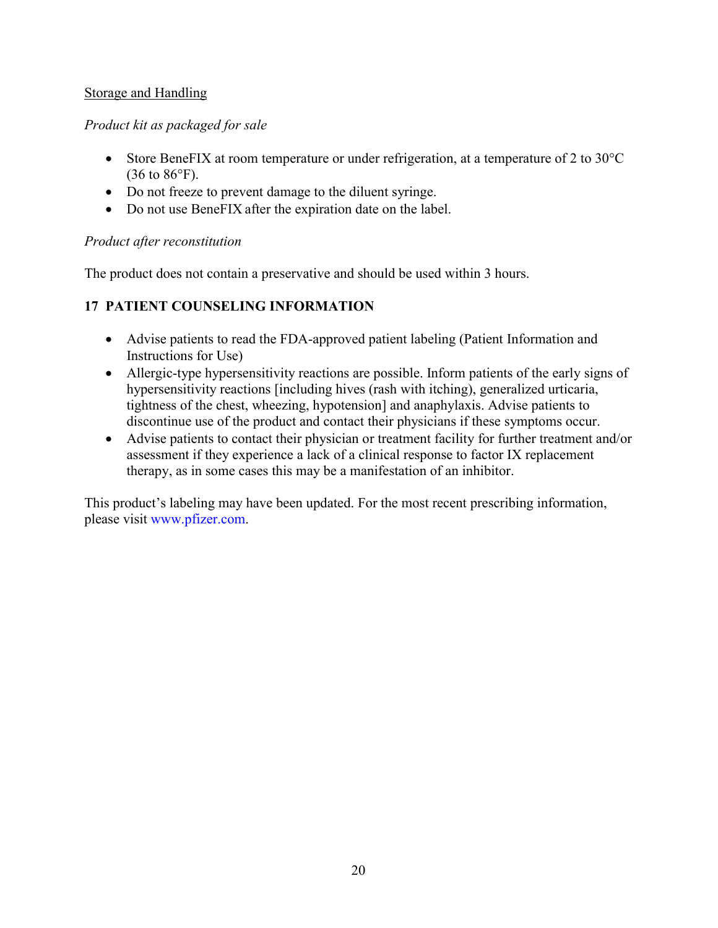### Storage and Handling

## *Product kit as packaged for sale*

- Store BeneFIX at room temperature or under refrigeration, at a temperature of 2 to  $30^{\circ}$ C  $(36 \text{ to } 86^{\circ}F)$ .
- Do not freeze to prevent damage to the diluent syringe.
- Do not use BeneFIX after the expiration date on the label.

### *Product after reconstitution*

The product does not contain a preservative and should be used within 3 hours.

# **17 PATIENT COUNSELING INFORMATION**

- Advise patients to read the FDA-approved patient labeling (Patient Information and Instructions for Use)
- Allergic-type hypersensitivity reactions are possible. Inform patients of the early signs of hypersensitivity reactions [including hives (rash with itching), generalized urticaria, tightness of the chest, wheezing, hypotension] and anaphylaxis. Advise patients to discontinue use of the product and contact their physicians if these symptoms occur.
- Advise patients to contact their physician or treatment facility for further treatment and/or assessment if they experience a lack of a clinical response to factor IX replacement therapy, as in some cases this may be a manifestation of an inhibitor.

This product's labeling may have been updated. For the most recent prescribing information, please visit [www.pfizer.com](http://www.pfizer.com/).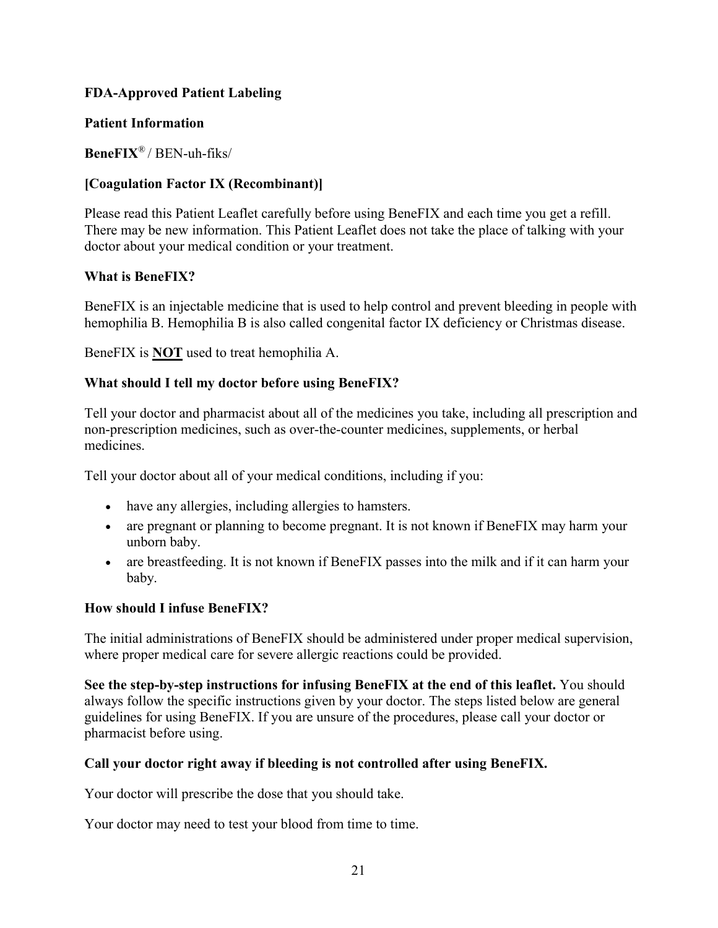## **FDA-Approved Patient Labeling**

### **Patient Information**

**BeneFIX**® / BEN-uh-fiks/

## **[Coagulation Factor IX (Recombinant)]**

Please read this Patient Leaflet carefully before using BeneFIX and each time you get a refill. There may be new information. This Patient Leaflet does not take the place of talking with your doctor about your medical condition or your treatment.

### **What is BeneFIX?**

BeneFIX is an injectable medicine that is used to help control and prevent bleeding in people with hemophilia B. Hemophilia B is also called congenital factor IX deficiency or Christmas disease.

BeneFIX is **NOT** used to treat hemophilia A.

# **What should I tell my doctor before using BeneFIX?**

Tell your doctor and pharmacist about all of the medicines you take, including all prescription and non-prescription medicines, such as over-the-counter medicines, supplements, or herbal medicines.

Tell your doctor about all of your medical conditions, including if you:

- have any allergies, including allergies to hamsters.
- are pregnant or planning to become pregnant. It is not known if BeneFIX may harm your unborn baby.
- are breastfeeding. It is not known if BeneFIX passes into the milk and if it can harm your baby.

# **How should I infuse BeneFIX?**

The initial administrations of BeneFIX should be administered under proper medical supervision, where proper medical care for severe allergic reactions could be provided.

**See the step-by-step instructions for infusing BeneFIX at the end of this leaflet.** You should always follow the specific instructions given by your doctor. The steps listed below are general guidelines for using BeneFIX. If you are unsure of the procedures, please call your doctor or pharmacist before using.

# **Call your doctor right away if bleeding is not controlled after using BeneFIX.**

Your doctor will prescribe the dose that you should take.

Your doctor may need to test your blood from time to time.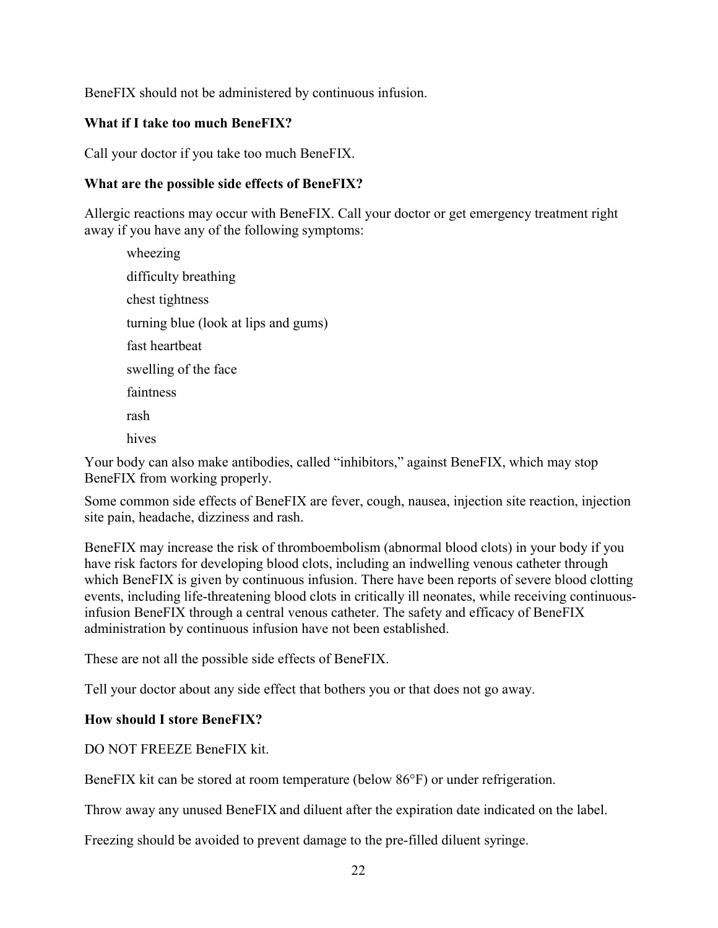BeneFIX should not be administered by continuous infusion.

#### **What if I take too much BeneFIX?**

Call your doctor if you take too much BeneFIX.

#### **What are the possible side effects of BeneFIX?**

Allergic reactions may occur with BeneFIX. Call your doctor or get emergency treatment right away if you have any of the following symptoms:

wheezing difficulty breathing chest tightness turning blue (look at lips and gums) fast heartbeat swelling of the face faintness rash hives

Your body can also make antibodies, called "inhibitors," against BeneFIX, which may stop BeneFIX from working properly.

Some common side effects of BeneFIX are fever, cough, nausea, injection site reaction, injection site pain, headache, dizziness and rash.

BeneFIX may increase the risk of thromboembolism (abnormal blood clots) in your body if you have risk factors for developing blood clots, including an indwelling venous catheter through which BeneFIX is given by continuous infusion. There have been reports of severe blood clotting events, including life-threatening blood clots in critically ill neonates, while receiving continuousinfusion BeneFIX through a central venous catheter. The safety and efficacy of BeneFIX administration by continuous infusion have not been established.

These are not all the possible side effects of BeneFIX.

Tell your doctor about any side effect that bothers you or that does not go away.

#### **How should I store BeneFIX?**

DO NOT FREEZE BeneFIX kit.

BeneFIX kit can be stored at room temperature (below 86°F) or under refrigeration.

Throw away any unused BeneFIX and diluent after the expiration date indicated on the label.

Freezing should be avoided to prevent damage to the pre-filled diluent syringe.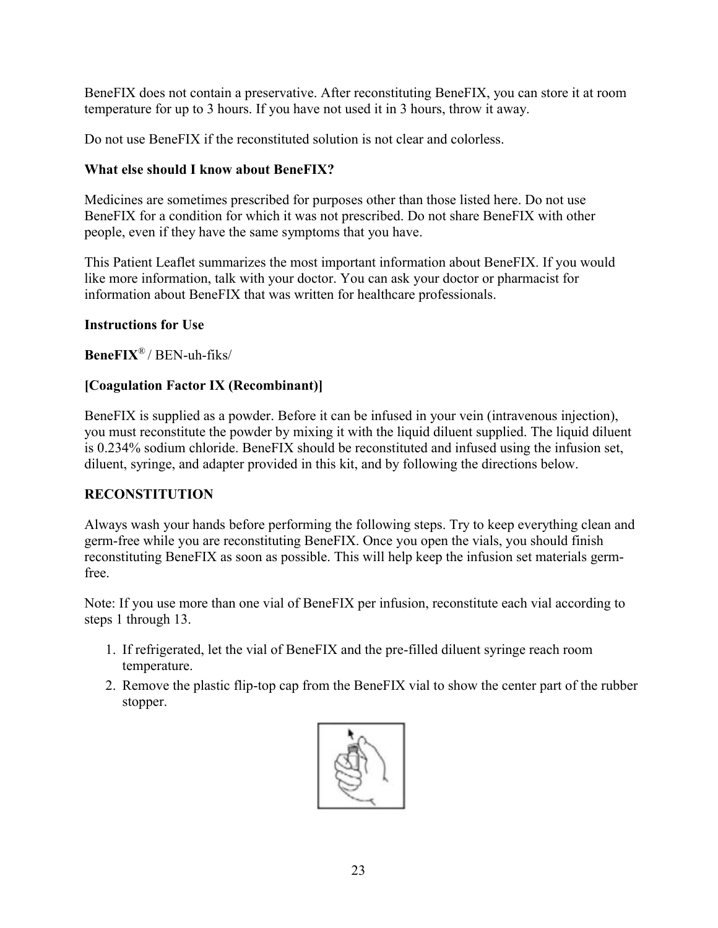BeneFIX does not contain a preservative. After reconstituting BeneFIX, you can store it at room temperature for up to 3 hours. If you have not used it in 3 hours, throw it away.

Do not use BeneFIX if the reconstituted solution is not clear and colorless.

### **What else should I know about BeneFIX?**

Medicines are sometimes prescribed for purposes other than those listed here. Do not use BeneFIX for a condition for which it was not prescribed. Do not share BeneFIX with other people, even if they have the same symptoms that you have.

This Patient Leaflet summarizes the most important information about BeneFIX. If you would like more information, talk with your doctor. You can ask your doctor or pharmacist for information about BeneFIX that was written for healthcare professionals.

## **Instructions for Use**

**BeneFIX**® / BEN-uh-fiks/

# **[Coagulation Factor IX (Recombinant)]**

BeneFIX is supplied as a powder. Before it can be infused in your vein (intravenous injection), you must reconstitute the powder by mixing it with the liquid diluent supplied. The liquid diluent is 0.234% sodium chloride. BeneFIX should be reconstituted and infused using the infusion set, diluent, syringe, and adapter provided in this kit, and by following the directions below.

# **RECONSTITUTION**

Always wash your hands before performing the following steps. Try to keep everything clean and germ-free while you are reconstituting BeneFIX. Once you open the vials, you should finish reconstituting BeneFIX as soon as possible. This will help keep the infusion set materials germfree.

Note: If you use more than one vial of BeneFIX per infusion, reconstitute each vial according to steps 1 through 13.

- 1. If refrigerated, let the vial of BeneFIX and the pre-filled diluent syringe reach room temperature.
- 2. Remove the plastic flip-top cap from the BeneFIX vial to show the center part of the rubber stopper.

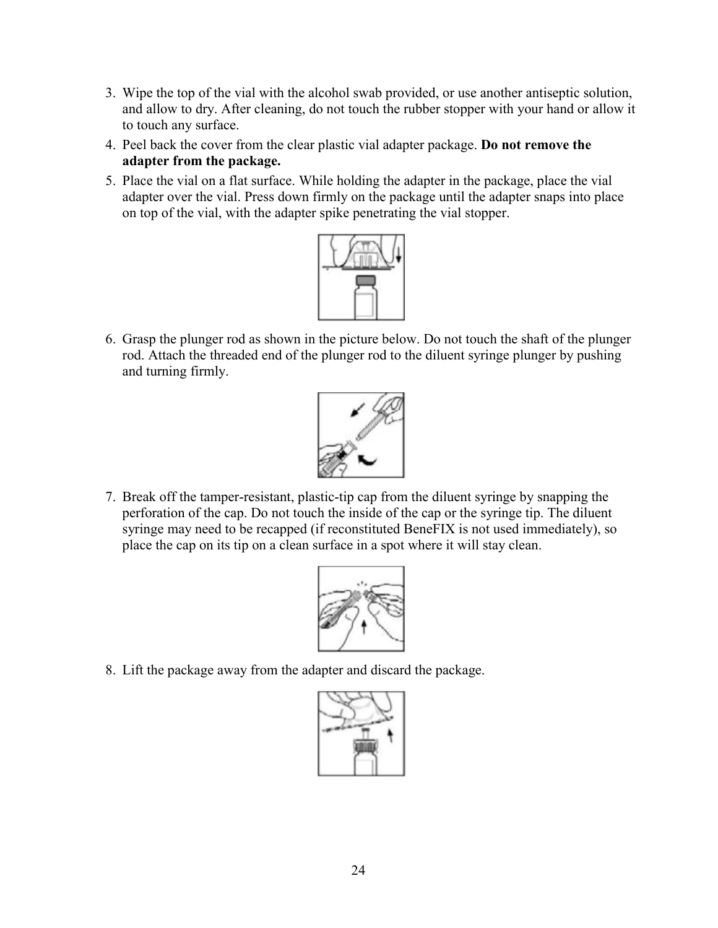- 3. Wipe the top of the vial with the alcohol swab provided, or use another antiseptic solution, and allow to dry. After cleaning, do not touch the rubber stopper with your hand or allow it to touch any surface.
- 4. Peel back the cover from the clear plastic vial adapter package. **Do not remove the adapter from the package.**
- 5. Place the vial on a flat surface. While holding the adapter in the package, place the vial adapter over the vial. Press down firmly on the package until the adapter snaps into place on top of the vial, with the adapter spike penetrating the vial stopper.



6. Grasp the plunger rod as shown in the picture below. Do not touch the shaft of the plunger rod. Attach the threaded end of the plunger rod to the diluent syringe plunger by pushing and turning firmly.



7. Break off the tamper-resistant, plastic-tip cap from the diluent syringe by snapping the perforation of the cap. Do not touch the inside of the cap or the syringe tip. The diluent syringe may need to be recapped (if reconstituted BeneFIX is not used immediately), so place the cap on its tip on a clean surface in a spot where it will stay clean.



8. Lift the package away from the adapter and discard the package.

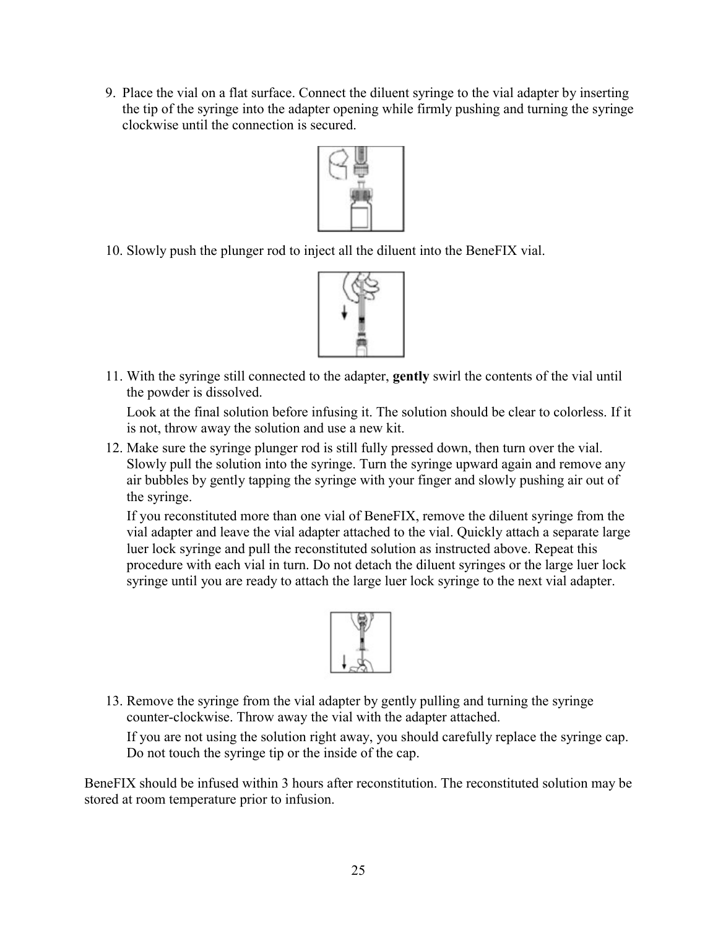9. Place the vial on a flat surface. Connect the diluent syringe to the vial adapter by inserting the tip of the syringe into the adapter opening while firmly pushing and turning the syringe clockwise until the connection is secured.



10. Slowly push the plunger rod to inject all the diluent into the BeneFIX vial.



11. With the syringe still connected to the adapter, **gently** swirl the contents of the vial until the powder is dissolved.

Look at the final solution before infusing it. The solution should be clear to colorless. If it is not, throw away the solution and use a new kit.

12. Make sure the syringe plunger rod is still fully pressed down, then turn over the vial. Slowly pull the solution into the syringe. Turn the syringe upward again and remove any air bubbles by gently tapping the syringe with your finger and slowly pushing air out of the syringe.

If you reconstituted more than one vial of BeneFIX, remove the diluent syringe from the vial adapter and leave the vial adapter attached to the vial. Quickly attach a separate large luer lock syringe and pull the reconstituted solution as instructed above. Repeat this procedure with each vial in turn. Do not detach the diluent syringes or the large luer lock syringe until you are ready to attach the large luer lock syringe to the next vial adapter.



13. Remove the syringe from the vial adapter by gently pulling and turning the syringe counter-clockwise. Throw away the vial with the adapter attached.

If you are not using the solution right away, you should carefully replace the syringe cap. Do not touch the syringe tip or the inside of the cap.

BeneFIX should be infused within 3 hours after reconstitution. The reconstituted solution may be stored at room temperature prior to infusion.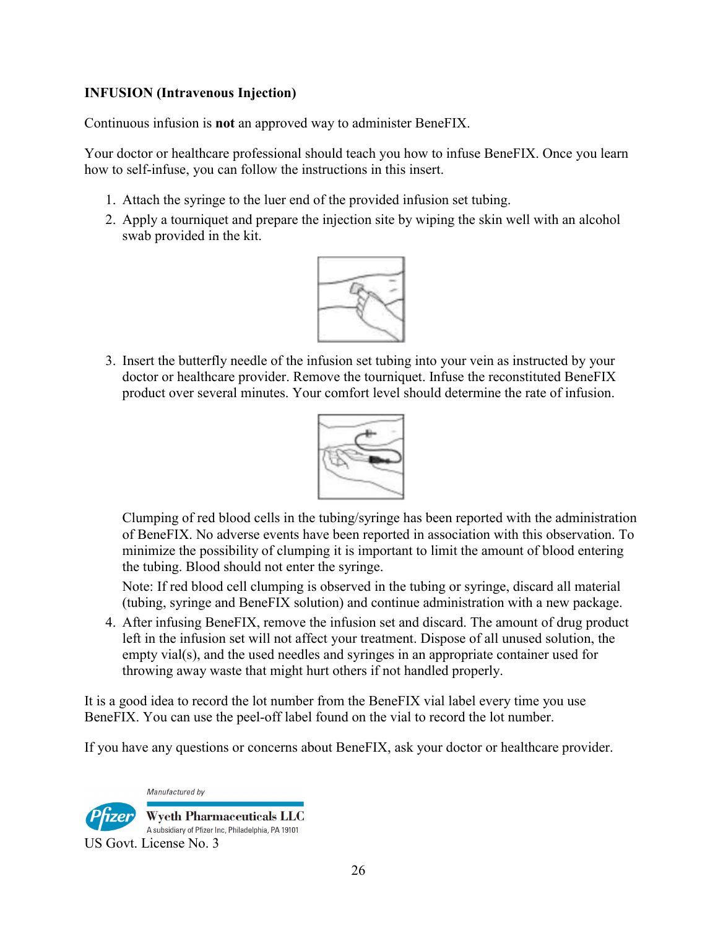### **INFUSION (Intravenous Injection)**

Continuous infusion is **not** an approved way to administer BeneFIX.

Your doctor or healthcare professional should teach you how to infuse BeneFIX. Once you learn how to self-infuse, you can follow the instructions in this insert.

- 1. Attach the syringe to the luer end of the provided infusion set tubing.
- 2. Apply a tourniquet and prepare the injection site by wiping the skin well with an alcohol swab provided in the kit.



3. Insert the butterfly needle of the infusion set tubing into your vein as instructed by your doctor or healthcare provider. Remove the tourniquet. Infuse the reconstituted BeneFIX product over several minutes. Your comfort level should determine the rate of infusion.



Clumping of red blood cells in the tubing/syringe has been reported with the administration of BeneFIX. No adverse events have been reported in association with this observation. To minimize the possibility of clumping it is important to limit the amount of blood entering the tubing. Blood should not enter the syringe.

Note: If red blood cell clumping is observed in the tubing or syringe, discard all material (tubing, syringe and BeneFIX solution) and continue administration with a new package.

4. After infusing BeneFIX, remove the infusion set and discard. The amount of drug product left in the infusion set will not affect your treatment. Dispose of all unused solution, the empty vial(s), and the used needles and syringes in an appropriate container used for throwing away waste that might hurt others if not handled properly.

It is a good idea to record the lot number from the BeneFIX vial label every time you use BeneFIX. You can use the peel-off label found on the vial to record the lot number.

If you have any questions or concerns about BeneFIX, ask your doctor or healthcare provider.

Manufactured by **Wyeth Pharmaceuticals LLC** A subsidiary of Pfizer Inc, Philadelphia, PA 19101 US Govt. License No. 3